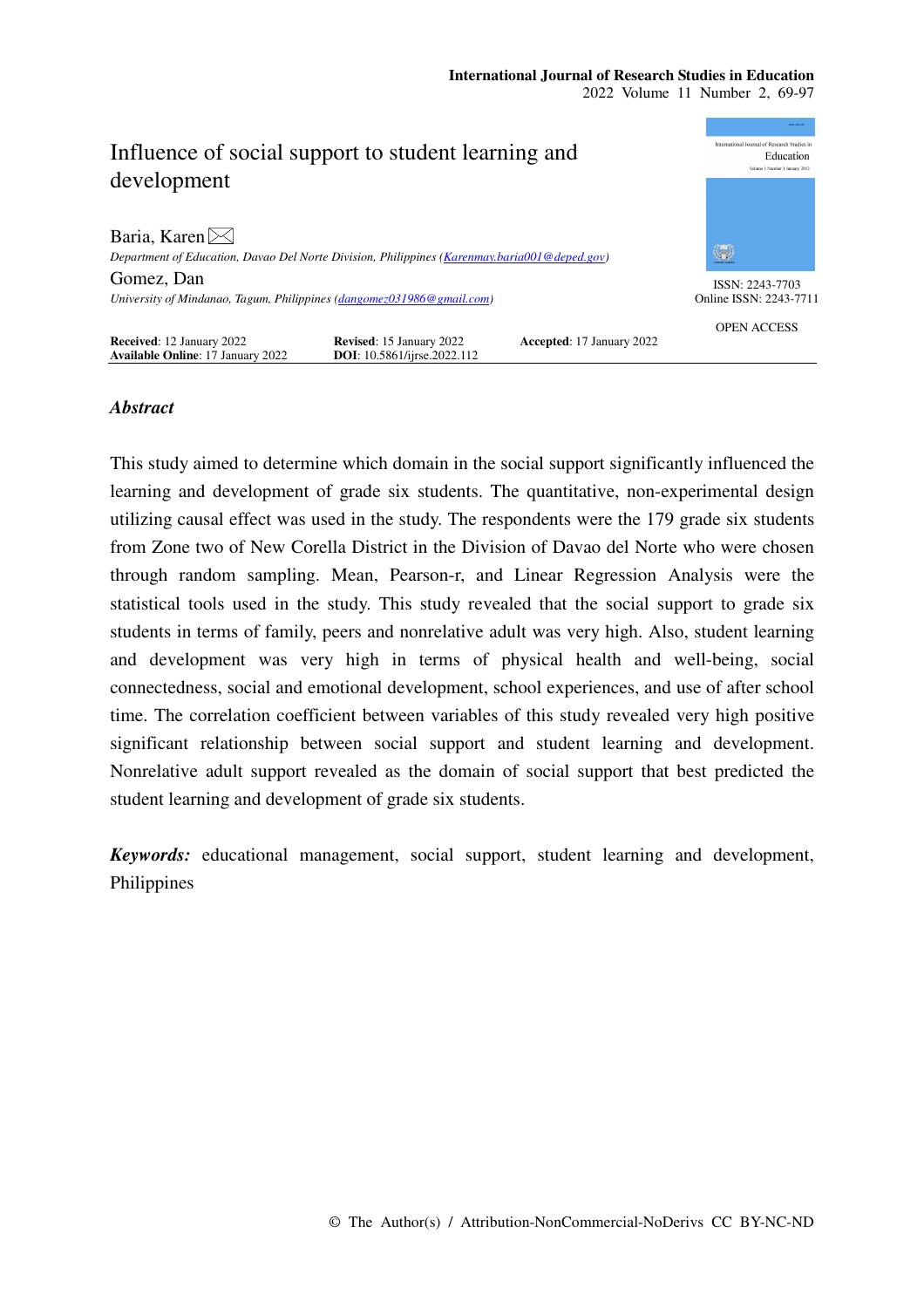

# *Abstract*

This study aimed to determine which domain in the social support significantly influenced the learning and development of grade six students. The quantitative, non-experimental design utilizing causal effect was used in the study. The respondents were the 179 grade six students from Zone two of New Corella District in the Division of Davao del Norte who were chosen through random sampling. Mean, Pearson-r, and Linear Regression Analysis were the statistical tools used in the study. This study revealed that the social support to grade six students in terms of family, peers and nonrelative adult was very high. Also, student learning and development was very high in terms of physical health and well-being, social connectedness, social and emotional development, school experiences, and use of after school time. The correlation coefficient between variables of this study revealed very high positive significant relationship between social support and student learning and development. Nonrelative adult support revealed as the domain of social support that best predicted the student learning and development of grade six students.

*Keywords:* educational management, social support, student learning and development, Philippines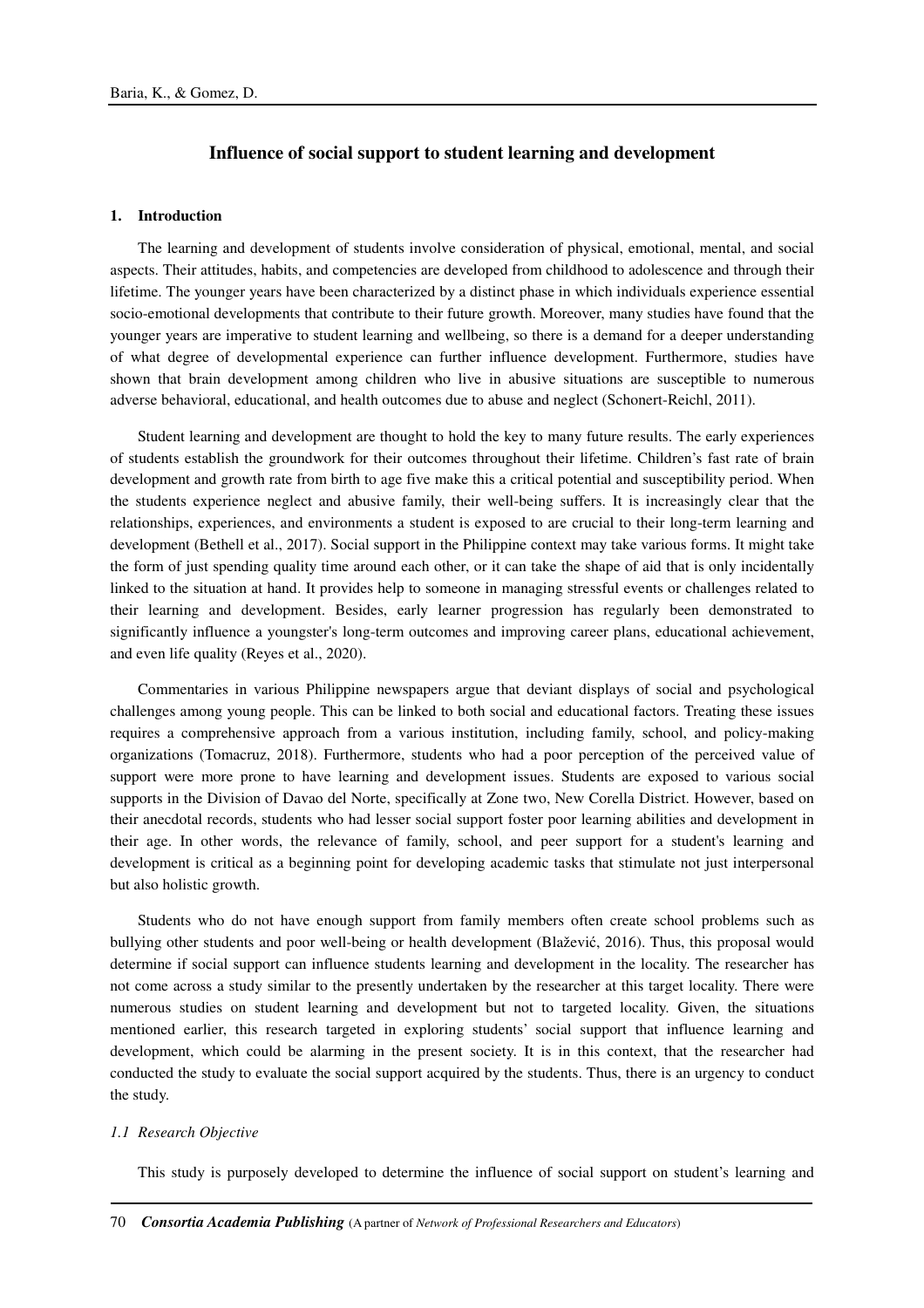# **Influence of social support to student learning and development**

### **1. Introduction**

The learning and development of students involve consideration of physical, emotional, mental, and social aspects. Their attitudes, habits, and competencies are developed from childhood to adolescence and through their lifetime. The younger years have been characterized by a distinct phase in which individuals experience essential socio-emotional developments that contribute to their future growth. Moreover, many studies have found that the younger years are imperative to student learning and wellbeing, so there is a demand for a deeper understanding of what degree of developmental experience can further influence development. Furthermore, studies have shown that brain development among children who live in abusive situations are susceptible to numerous adverse behavioral, educational, and health outcomes due to abuse and neglect (Schonert-Reichl, 2011).

Student learning and development are thought to hold the key to many future results. The early experiences of students establish the groundwork for their outcomes throughout their lifetime. Children's fast rate of brain development and growth rate from birth to age five make this a critical potential and susceptibility period. When the students experience neglect and abusive family, their well-being suffers. It is increasingly clear that the relationships, experiences, and environments a student is exposed to are crucial to their long-term learning and development (Bethell et al., 2017). Social support in the Philippine context may take various forms. It might take the form of just spending quality time around each other, or it can take the shape of aid that is only incidentally linked to the situation at hand. It provides help to someone in managing stressful events or challenges related to their learning and development. Besides, early learner progression has regularly been demonstrated to significantly influence a youngster's long-term outcomes and improving career plans, educational achievement, and even life quality (Reyes et al., 2020).

Commentaries in various Philippine newspapers argue that deviant displays of social and psychological challenges among young people. This can be linked to both social and educational factors. Treating these issues requires a comprehensive approach from a various institution, including family, school, and policy-making organizations (Tomacruz, 2018). Furthermore, students who had a poor perception of the perceived value of support were more prone to have learning and development issues. Students are exposed to various social supports in the Division of Davao del Norte, specifically at Zone two, New Corella District. However, based on their anecdotal records, students who had lesser social support foster poor learning abilities and development in their age. In other words, the relevance of family, school, and peer support for a student's learning and development is critical as a beginning point for developing academic tasks that stimulate not just interpersonal but also holistic growth.

Students who do not have enough support from family members often create school problems such as bullying other students and poor well-being or health development (Blažević, 2016). Thus, this proposal would determine if social support can influence students learning and development in the locality. The researcher has not come across a study similar to the presently undertaken by the researcher at this target locality. There were numerous studies on student learning and development but not to targeted locality. Given, the situations mentioned earlier, this research targeted in exploring students' social support that influence learning and development, which could be alarming in the present society. It is in this context, that the researcher had conducted the study to evaluate the social support acquired by the students. Thus, there is an urgency to conduct the study.

#### *1.1 Research Objective*

This study is purposely developed to determine the influence of social support on student's learning and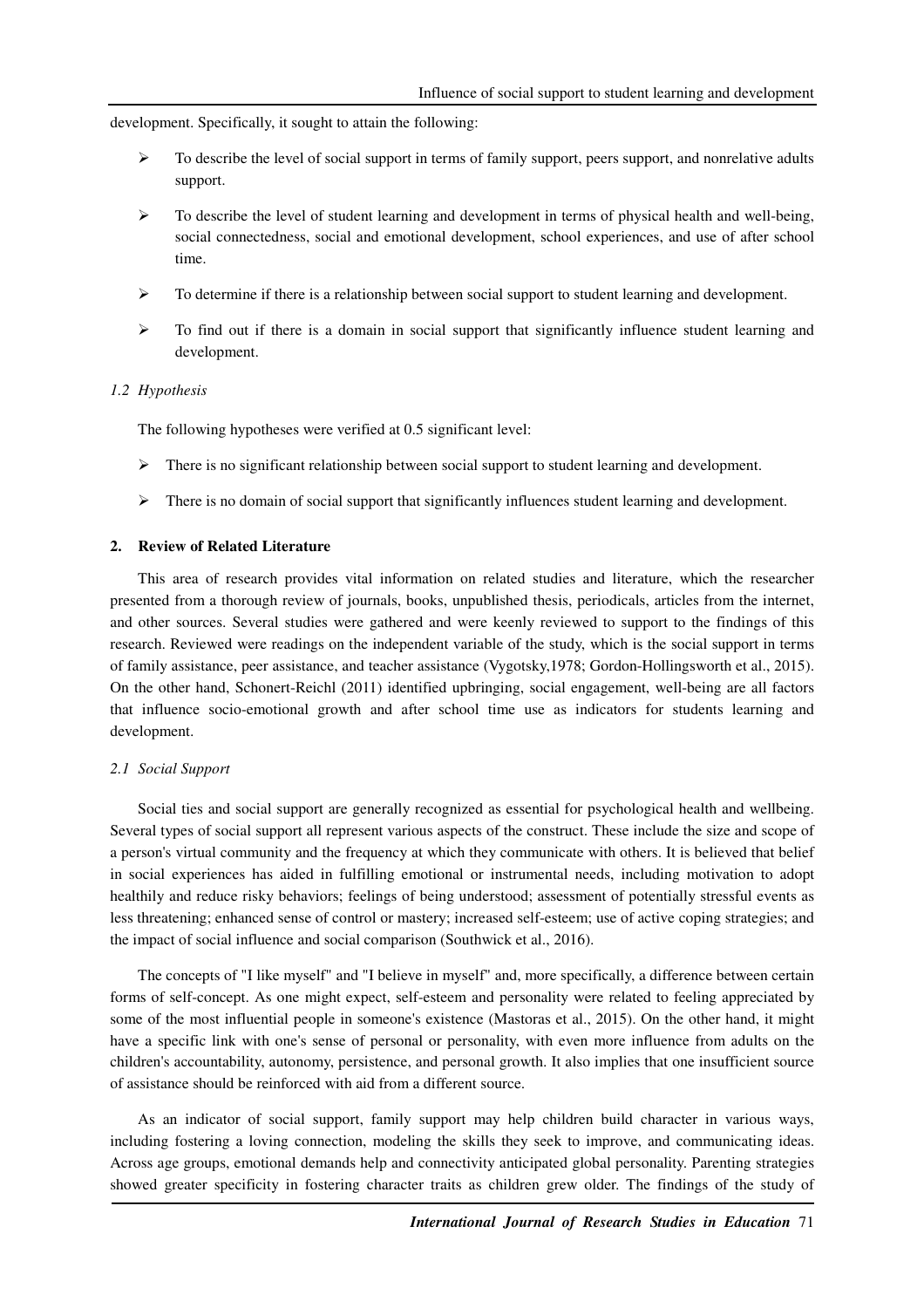development. Specifically, it sought to attain the following:

- $\triangleright$  To describe the level of social support in terms of family support, peers support, and nonrelative adults support.
- $\triangleright$  To describe the level of student learning and development in terms of physical health and well-being, social connectedness, social and emotional development, school experiences, and use of after school time.
- $\triangleright$  To determine if there is a relationship between social support to student learning and development.
- To find out if there is a domain in social support that significantly influence student learning and development.

#### *1.2 Hypothesis*

The following hypotheses were verified at 0.5 significant level:

- $\triangleright$  There is no significant relationship between social support to student learning and development.
- $\triangleright$  There is no domain of social support that significantly influences student learning and development.

### **2. Review of Related Literature**

This area of research provides vital information on related studies and literature, which the researcher presented from a thorough review of journals, books, unpublished thesis, periodicals, articles from the internet, and other sources. Several studies were gathered and were keenly reviewed to support to the findings of this research. Reviewed were readings on the independent variable of the study, which is the social support in terms of family assistance, peer assistance, and teacher assistance (Vygotsky,1978; Gordon-Hollingsworth et al., 2015). On the other hand, Schonert-Reichl (2011) identified upbringing, social engagement, well-being are all factors that influence socio-emotional growth and after school time use as indicators for students learning and development.

#### *2.1 Social Support*

Social ties and social support are generally recognized as essential for psychological health and wellbeing. Several types of social support all represent various aspects of the construct. These include the size and scope of a person's virtual community and the frequency at which they communicate with others. It is believed that belief in social experiences has aided in fulfilling emotional or instrumental needs, including motivation to adopt healthily and reduce risky behaviors; feelings of being understood; assessment of potentially stressful events as less threatening; enhanced sense of control or mastery; increased self-esteem; use of active coping strategies; and the impact of social influence and social comparison (Southwick et al., 2016).

The concepts of "I like myself" and "I believe in myself" and, more specifically, a difference between certain forms of self-concept. As one might expect, self-esteem and personality were related to feeling appreciated by some of the most influential people in someone's existence (Mastoras et al., 2015). On the other hand, it might have a specific link with one's sense of personal or personality, with even more influence from adults on the children's accountability, autonomy, persistence, and personal growth. It also implies that one insufficient source of assistance should be reinforced with aid from a different source.

As an indicator of social support, family support may help children build character in various ways, including fostering a loving connection, modeling the skills they seek to improve, and communicating ideas. Across age groups, emotional demands help and connectivity anticipated global personality. Parenting strategies showed greater specificity in fostering character traits as children grew older. The findings of the study of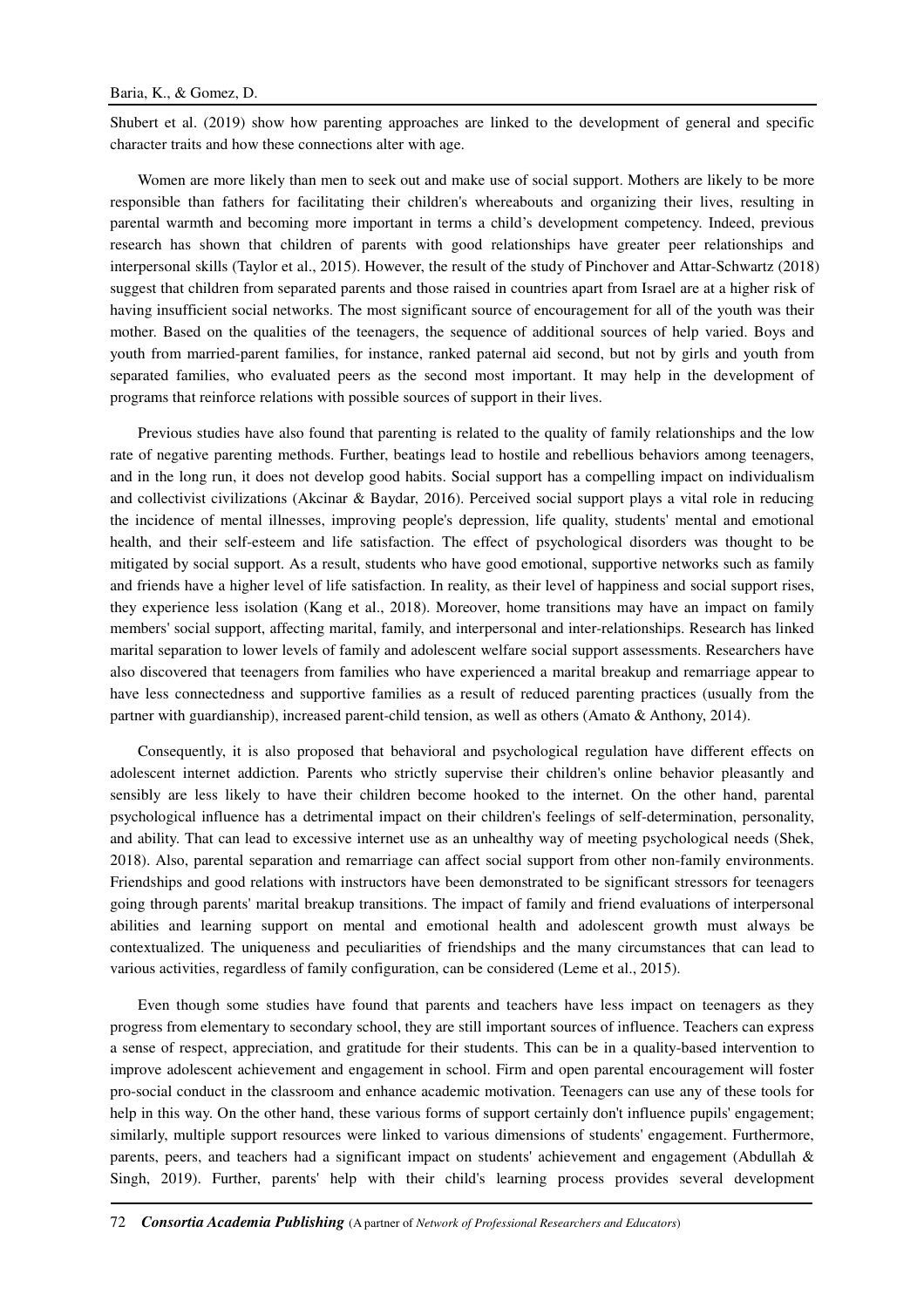Shubert et al. (2019) show how parenting approaches are linked to the development of general and specific character traits and how these connections alter with age.

Women are more likely than men to seek out and make use of social support. Mothers are likely to be more responsible than fathers for facilitating their children's whereabouts and organizing their lives, resulting in parental warmth and becoming more important in terms a child's development competency. Indeed, previous research has shown that children of parents with good relationships have greater peer relationships and interpersonal skills (Taylor et al., 2015). However, the result of the study of Pinchover and Attar-Schwartz (2018) suggest that children from separated parents and those raised in countries apart from Israel are at a higher risk of having insufficient social networks. The most significant source of encouragement for all of the youth was their mother. Based on the qualities of the teenagers, the sequence of additional sources of help varied. Boys and youth from married-parent families, for instance, ranked paternal aid second, but not by girls and youth from separated families, who evaluated peers as the second most important. It may help in the development of programs that reinforce relations with possible sources of support in their lives.

Previous studies have also found that parenting is related to the quality of family relationships and the low rate of negative parenting methods. Further, beatings lead to hostile and rebellious behaviors among teenagers, and in the long run, it does not develop good habits. Social support has a compelling impact on individualism and collectivist civilizations (Akcinar & Baydar, 2016). Perceived social support plays a vital role in reducing the incidence of mental illnesses, improving people's depression, life quality, students' mental and emotional health, and their self-esteem and life satisfaction. The effect of psychological disorders was thought to be mitigated by social support. As a result, students who have good emotional, supportive networks such as family and friends have a higher level of life satisfaction. In reality, as their level of happiness and social support rises, they experience less isolation (Kang et al., 2018). Moreover, home transitions may have an impact on family members' social support, affecting marital, family, and interpersonal and inter-relationships. Research has linked marital separation to lower levels of family and adolescent welfare social support assessments. Researchers have also discovered that teenagers from families who have experienced a marital breakup and remarriage appear to have less connectedness and supportive families as a result of reduced parenting practices (usually from the partner with guardianship), increased parent-child tension, as well as others (Amato & Anthony, 2014).

Consequently, it is also proposed that behavioral and psychological regulation have different effects on adolescent internet addiction. Parents who strictly supervise their children's online behavior pleasantly and sensibly are less likely to have their children become hooked to the internet. On the other hand, parental psychological influence has a detrimental impact on their children's feelings of self-determination, personality, and ability. That can lead to excessive internet use as an unhealthy way of meeting psychological needs (Shek, 2018). Also, parental separation and remarriage can affect social support from other non-family environments. Friendships and good relations with instructors have been demonstrated to be significant stressors for teenagers going through parents' marital breakup transitions. The impact of family and friend evaluations of interpersonal abilities and learning support on mental and emotional health and adolescent growth must always be contextualized. The uniqueness and peculiarities of friendships and the many circumstances that can lead to various activities, regardless of family configuration, can be considered (Leme et al., 2015).

Even though some studies have found that parents and teachers have less impact on teenagers as they progress from elementary to secondary school, they are still important sources of influence. Teachers can express a sense of respect, appreciation, and gratitude for their students. This can be in a quality-based intervention to improve adolescent achievement and engagement in school. Firm and open parental encouragement will foster pro-social conduct in the classroom and enhance academic motivation. Teenagers can use any of these tools for help in this way. On the other hand, these various forms of support certainly don't influence pupils' engagement; similarly, multiple support resources were linked to various dimensions of students' engagement. Furthermore, parents, peers, and teachers had a significant impact on students' achievement and engagement (Abdullah & Singh, 2019). Further, parents' help with their child's learning process provides several development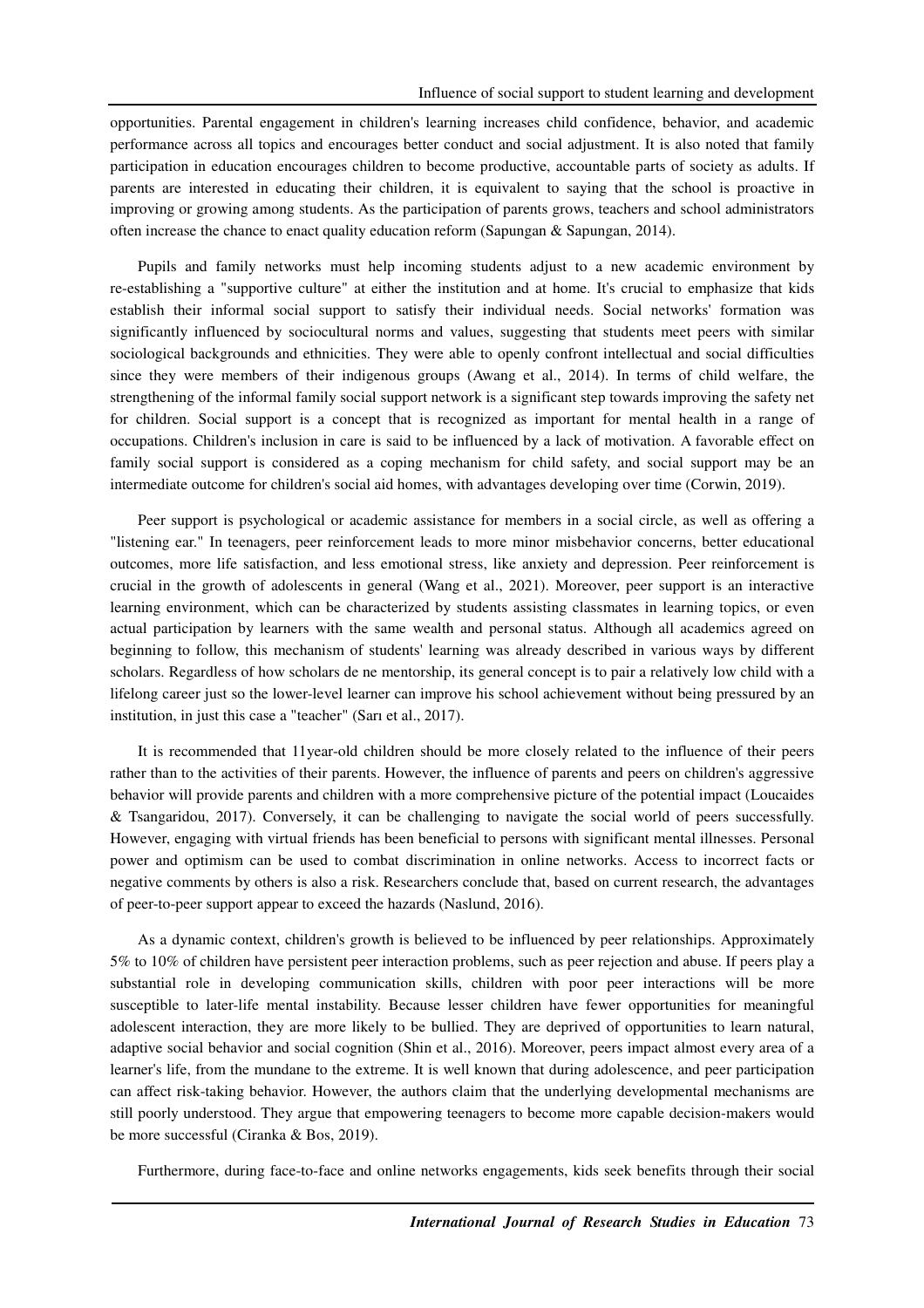opportunities. Parental engagement in children's learning increases child confidence, behavior, and academic performance across all topics and encourages better conduct and social adjustment. It is also noted that family participation in education encourages children to become productive, accountable parts of society as adults. If parents are interested in educating their children, it is equivalent to saying that the school is proactive in improving or growing among students. As the participation of parents grows, teachers and school administrators often increase the chance to enact quality education reform (Sapungan & Sapungan, 2014).

Pupils and family networks must help incoming students adjust to a new academic environment by re-establishing a "supportive culture" at either the institution and at home. It's crucial to emphasize that kids establish their informal social support to satisfy their individual needs. Social networks' formation was significantly influenced by sociocultural norms and values, suggesting that students meet peers with similar sociological backgrounds and ethnicities. They were able to openly confront intellectual and social difficulties since they were members of their indigenous groups (Awang et al., 2014). In terms of child welfare, the strengthening of the informal family social support network is a significant step towards improving the safety net for children. Social support is a concept that is recognized as important for mental health in a range of occupations. Children's inclusion in care is said to be influenced by a lack of motivation. A favorable effect on family social support is considered as a coping mechanism for child safety, and social support may be an intermediate outcome for children's social aid homes, with advantages developing over time (Corwin, 2019).

Peer support is psychological or academic assistance for members in a social circle, as well as offering a "listening ear." In teenagers, peer reinforcement leads to more minor misbehavior concerns, better educational outcomes, more life satisfaction, and less emotional stress, like anxiety and depression. Peer reinforcement is crucial in the growth of adolescents in general (Wang et al., 2021). Moreover, peer support is an interactive learning environment, which can be characterized by students assisting classmates in learning topics, or even actual participation by learners with the same wealth and personal status. Although all academics agreed on beginning to follow, this mechanism of students' learning was already described in various ways by different scholars. Regardless of how scholars de ne mentorship, its general concept is to pair a relatively low child with a lifelong career just so the lower-level learner can improve his school achievement without being pressured by an institution, in just this case a "teacher" (Sarı et al., 2017).

It is recommended that 11year-old children should be more closely related to the influence of their peers rather than to the activities of their parents. However, the influence of parents and peers on children's aggressive behavior will provide parents and children with a more comprehensive picture of the potential impact (Loucaides & Tsangaridou, 2017). Conversely, it can be challenging to navigate the social world of peers successfully. However, engaging with virtual friends has been beneficial to persons with significant mental illnesses. Personal power and optimism can be used to combat discrimination in online networks. Access to incorrect facts or negative comments by others is also a risk. Researchers conclude that, based on current research, the advantages of peer-to-peer support appear to exceed the hazards (Naslund, 2016).

As a dynamic context, children's growth is believed to be influenced by peer relationships. Approximately 5% to 10% of children have persistent peer interaction problems, such as peer rejection and abuse. If peers play a substantial role in developing communication skills, children with poor peer interactions will be more susceptible to later-life mental instability. Because lesser children have fewer opportunities for meaningful adolescent interaction, they are more likely to be bullied. They are deprived of opportunities to learn natural, adaptive social behavior and social cognition (Shin et al., 2016). Moreover, peers impact almost every area of a learner's life, from the mundane to the extreme. It is well known that during adolescence, and peer participation can affect risk-taking behavior. However, the authors claim that the underlying developmental mechanisms are still poorly understood. They argue that empowering teenagers to become more capable decision-makers would be more successful (Ciranka & Bos, 2019).

Furthermore, during face-to-face and online networks engagements, kids seek benefits through their social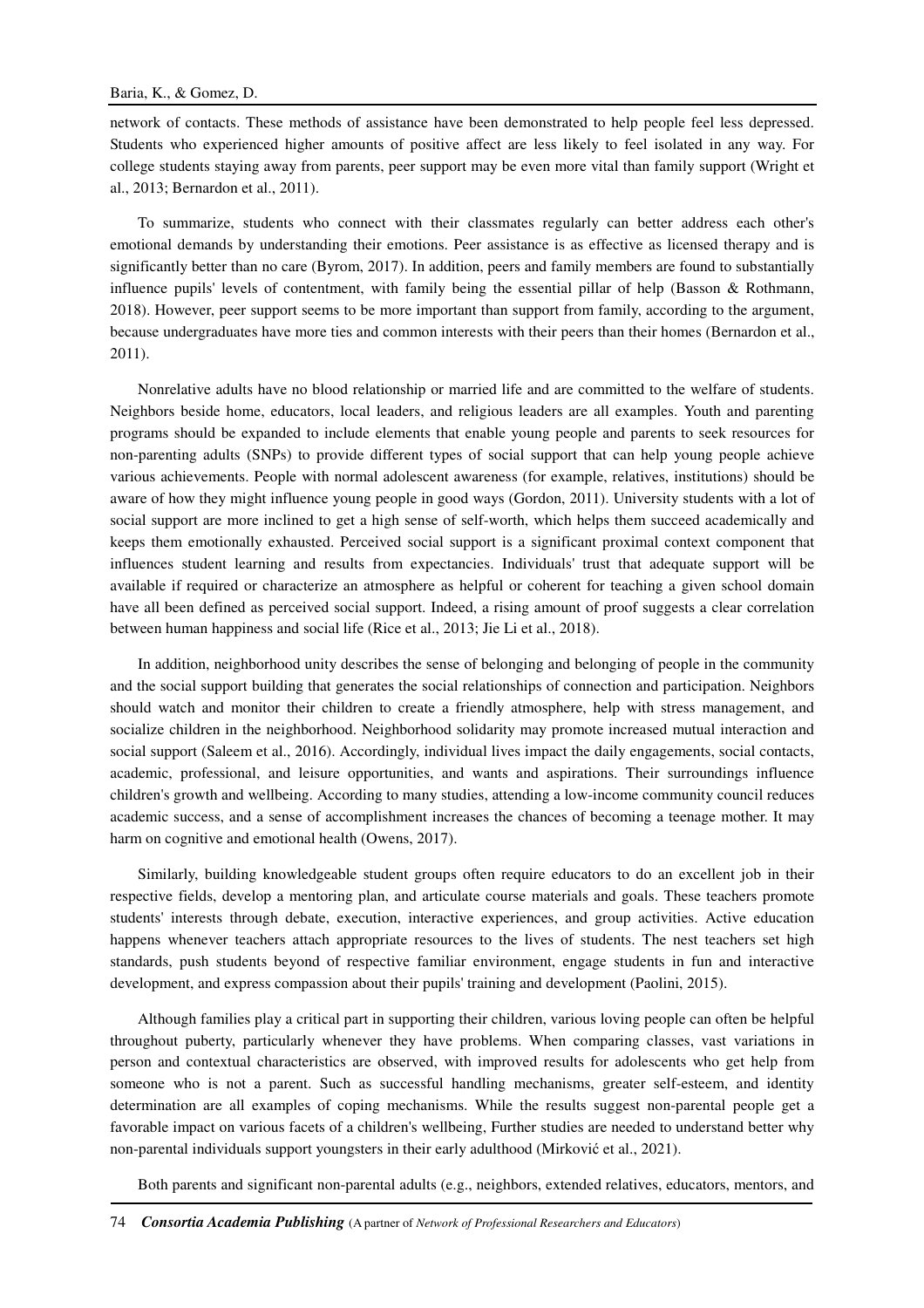network of contacts. These methods of assistance have been demonstrated to help people feel less depressed. Students who experienced higher amounts of positive affect are less likely to feel isolated in any way. For college students staying away from parents, peer support may be even more vital than family support (Wright et al., 2013; Bernardon et al., 2011).

To summarize, students who connect with their classmates regularly can better address each other's emotional demands by understanding their emotions. Peer assistance is as effective as licensed therapy and is significantly better than no care (Byrom, 2017). In addition, peers and family members are found to substantially influence pupils' levels of contentment, with family being the essential pillar of help (Basson & Rothmann, 2018). However, peer support seems to be more important than support from family, according to the argument, because undergraduates have more ties and common interests with their peers than their homes (Bernardon et al., 2011).

Nonrelative adults have no blood relationship or married life and are committed to the welfare of students. Neighbors beside home, educators, local leaders, and religious leaders are all examples. Youth and parenting programs should be expanded to include elements that enable young people and parents to seek resources for non-parenting adults (SNPs) to provide different types of social support that can help young people achieve various achievements. People with normal adolescent awareness (for example, relatives, institutions) should be aware of how they might influence young people in good ways (Gordon, 2011). University students with a lot of social support are more inclined to get a high sense of self-worth, which helps them succeed academically and keeps them emotionally exhausted. Perceived social support is a significant proximal context component that influences student learning and results from expectancies. Individuals' trust that adequate support will be available if required or characterize an atmosphere as helpful or coherent for teaching a given school domain have all been defined as perceived social support. Indeed, a rising amount of proof suggests a clear correlation between human happiness and social life (Rice et al., 2013; Jie Li et al., 2018).

In addition, neighborhood unity describes the sense of belonging and belonging of people in the community and the social support building that generates the social relationships of connection and participation. Neighbors should watch and monitor their children to create a friendly atmosphere, help with stress management, and socialize children in the neighborhood. Neighborhood solidarity may promote increased mutual interaction and social support (Saleem et al., 2016). Accordingly, individual lives impact the daily engagements, social contacts, academic, professional, and leisure opportunities, and wants and aspirations. Their surroundings influence children's growth and wellbeing. According to many studies, attending a low-income community council reduces academic success, and a sense of accomplishment increases the chances of becoming a teenage mother. It may harm on cognitive and emotional health (Owens, 2017).

Similarly, building knowledgeable student groups often require educators to do an excellent job in their respective fields, develop a mentoring plan, and articulate course materials and goals. These teachers promote students' interests through debate, execution, interactive experiences, and group activities. Active education happens whenever teachers attach appropriate resources to the lives of students. The nest teachers set high standards, push students beyond of respective familiar environment, engage students in fun and interactive development, and express compassion about their pupils' training and development (Paolini, 2015).

Although families play a critical part in supporting their children, various loving people can often be helpful throughout puberty, particularly whenever they have problems. When comparing classes, vast variations in person and contextual characteristics are observed, with improved results for adolescents who get help from someone who is not a parent. Such as successful handling mechanisms, greater self-esteem, and identity determination are all examples of coping mechanisms. While the results suggest non-parental people get a favorable impact on various facets of a children's wellbeing, Further studies are needed to understand better why non-parental individuals support youngsters in their early adulthood (Mirković et al., 2021).

Both parents and significant non-parental adults (e.g., neighbors, extended relatives, educators, mentors, and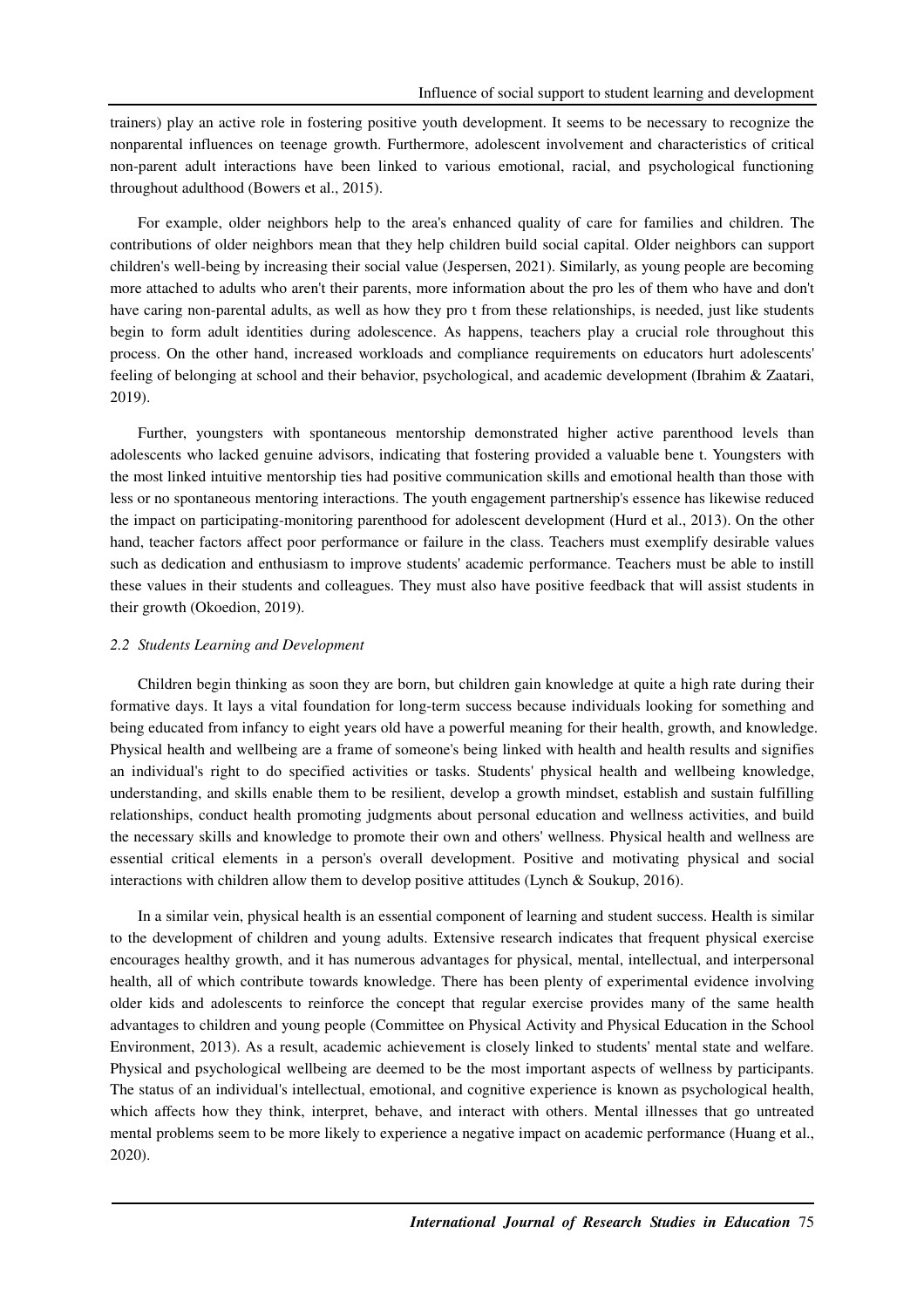trainers) play an active role in fostering positive youth development. It seems to be necessary to recognize the nonparental influences on teenage growth. Furthermore, adolescent involvement and characteristics of critical non-parent adult interactions have been linked to various emotional, racial, and psychological functioning throughout adulthood (Bowers et al., 2015).

For example, older neighbors help to the area's enhanced quality of care for families and children. The contributions of older neighbors mean that they help children build social capital. Older neighbors can support children's well-being by increasing their social value (Jespersen, 2021). Similarly, as young people are becoming more attached to adults who aren't their parents, more information about the pro les of them who have and don't have caring non-parental adults, as well as how they pro t from these relationships, is needed, just like students begin to form adult identities during adolescence. As happens, teachers play a crucial role throughout this process. On the other hand, increased workloads and compliance requirements on educators hurt adolescents' feeling of belonging at school and their behavior, psychological, and academic development (Ibrahim & Zaatari, 2019).

Further, youngsters with spontaneous mentorship demonstrated higher active parenthood levels than adolescents who lacked genuine advisors, indicating that fostering provided a valuable bene t. Youngsters with the most linked intuitive mentorship ties had positive communication skills and emotional health than those with less or no spontaneous mentoring interactions. The youth engagement partnership's essence has likewise reduced the impact on participating-monitoring parenthood for adolescent development (Hurd et al., 2013). On the other hand, teacher factors affect poor performance or failure in the class. Teachers must exemplify desirable values such as dedication and enthusiasm to improve students' academic performance. Teachers must be able to instill these values in their students and colleagues. They must also have positive feedback that will assist students in their growth (Okoedion, 2019).

#### *2.2 Students Learning and Development*

Children begin thinking as soon they are born, but children gain knowledge at quite a high rate during their formative days. It lays a vital foundation for long-term success because individuals looking for something and being educated from infancy to eight years old have a powerful meaning for their health, growth, and knowledge. Physical health and wellbeing are a frame of someone's being linked with health and health results and signifies an individual's right to do specified activities or tasks. Students' physical health and wellbeing knowledge, understanding, and skills enable them to be resilient, develop a growth mindset, establish and sustain fulfilling relationships, conduct health promoting judgments about personal education and wellness activities, and build the necessary skills and knowledge to promote their own and others' wellness. Physical health and wellness are essential critical elements in a person's overall development. Positive and motivating physical and social interactions with children allow them to develop positive attitudes (Lynch & Soukup, 2016).

In a similar vein, physical health is an essential component of learning and student success. Health is similar to the development of children and young adults. Extensive research indicates that frequent physical exercise encourages healthy growth, and it has numerous advantages for physical, mental, intellectual, and interpersonal health, all of which contribute towards knowledge. There has been plenty of experimental evidence involving older kids and adolescents to reinforce the concept that regular exercise provides many of the same health advantages to children and young people (Committee on Physical Activity and Physical Education in the School Environment, 2013). As a result, academic achievement is closely linked to students' mental state and welfare. Physical and psychological wellbeing are deemed to be the most important aspects of wellness by participants. The status of an individual's intellectual, emotional, and cognitive experience is known as psychological health, which affects how they think, interpret, behave, and interact with others. Mental illnesses that go untreated mental problems seem to be more likely to experience a negative impact on academic performance (Huang et al., 2020).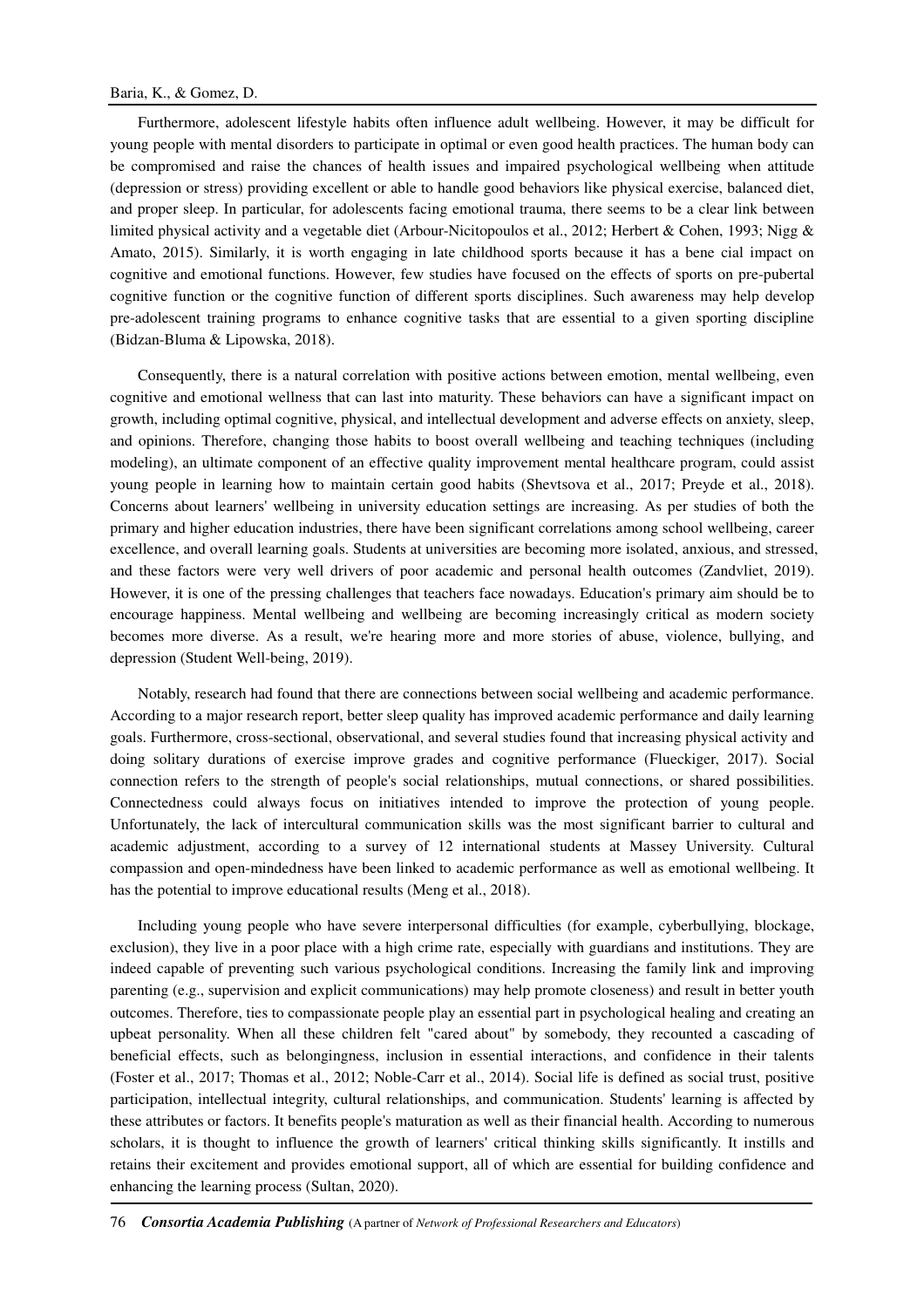Furthermore, adolescent lifestyle habits often influence adult wellbeing. However, it may be difficult for young people with mental disorders to participate in optimal or even good health practices. The human body can be compromised and raise the chances of health issues and impaired psychological wellbeing when attitude (depression or stress) providing excellent or able to handle good behaviors like physical exercise, balanced diet, and proper sleep. In particular, for adolescents facing emotional trauma, there seems to be a clear link between limited physical activity and a vegetable diet (Arbour-Nicitopoulos et al., 2012; Herbert & Cohen, 1993; Nigg & Amato, 2015). Similarly, it is worth engaging in late childhood sports because it has a bene cial impact on cognitive and emotional functions. However, few studies have focused on the effects of sports on pre-pubertal cognitive function or the cognitive function of different sports disciplines. Such awareness may help develop pre-adolescent training programs to enhance cognitive tasks that are essential to a given sporting discipline (Bidzan-Bluma & Lipowska, 2018).

Consequently, there is a natural correlation with positive actions between emotion, mental wellbeing, even cognitive and emotional wellness that can last into maturity. These behaviors can have a significant impact on growth, including optimal cognitive, physical, and intellectual development and adverse effects on anxiety, sleep, and opinions. Therefore, changing those habits to boost overall wellbeing and teaching techniques (including modeling), an ultimate component of an effective quality improvement mental healthcare program, could assist young people in learning how to maintain certain good habits (Shevtsova et al., 2017; Preyde et al., 2018). Concerns about learners' wellbeing in university education settings are increasing. As per studies of both the primary and higher education industries, there have been significant correlations among school wellbeing, career excellence, and overall learning goals. Students at universities are becoming more isolated, anxious, and stressed, and these factors were very well drivers of poor academic and personal health outcomes (Zandvliet, 2019). However, it is one of the pressing challenges that teachers face nowadays. Education's primary aim should be to encourage happiness. Mental wellbeing and wellbeing are becoming increasingly critical as modern society becomes more diverse. As a result, we're hearing more and more stories of abuse, violence, bullying, and depression (Student Well-being, 2019).

Notably, research had found that there are connections between social wellbeing and academic performance. According to a major research report, better sleep quality has improved academic performance and daily learning goals. Furthermore, cross-sectional, observational, and several studies found that increasing physical activity and doing solitary durations of exercise improve grades and cognitive performance (Flueckiger, 2017). Social connection refers to the strength of people's social relationships, mutual connections, or shared possibilities. Connectedness could always focus on initiatives intended to improve the protection of young people. Unfortunately, the lack of intercultural communication skills was the most significant barrier to cultural and academic adjustment, according to a survey of 12 international students at Massey University. Cultural compassion and open-mindedness have been linked to academic performance as well as emotional wellbeing. It has the potential to improve educational results (Meng et al., 2018).

Including young people who have severe interpersonal difficulties (for example, cyberbullying, blockage, exclusion), they live in a poor place with a high crime rate, especially with guardians and institutions. They are indeed capable of preventing such various psychological conditions. Increasing the family link and improving parenting (e.g., supervision and explicit communications) may help promote closeness) and result in better youth outcomes. Therefore, ties to compassionate people play an essential part in psychological healing and creating an upbeat personality. When all these children felt "cared about" by somebody, they recounted a cascading of beneficial effects, such as belongingness, inclusion in essential interactions, and confidence in their talents (Foster et al., 2017; Thomas et al., 2012; Noble-Carr et al., 2014). Social life is defined as social trust, positive participation, intellectual integrity, cultural relationships, and communication. Students' learning is affected by these attributes or factors. It benefits people's maturation as well as their financial health. According to numerous scholars, it is thought to influence the growth of learners' critical thinking skills significantly. It instills and retains their excitement and provides emotional support, all of which are essential for building confidence and enhancing the learning process (Sultan, 2020).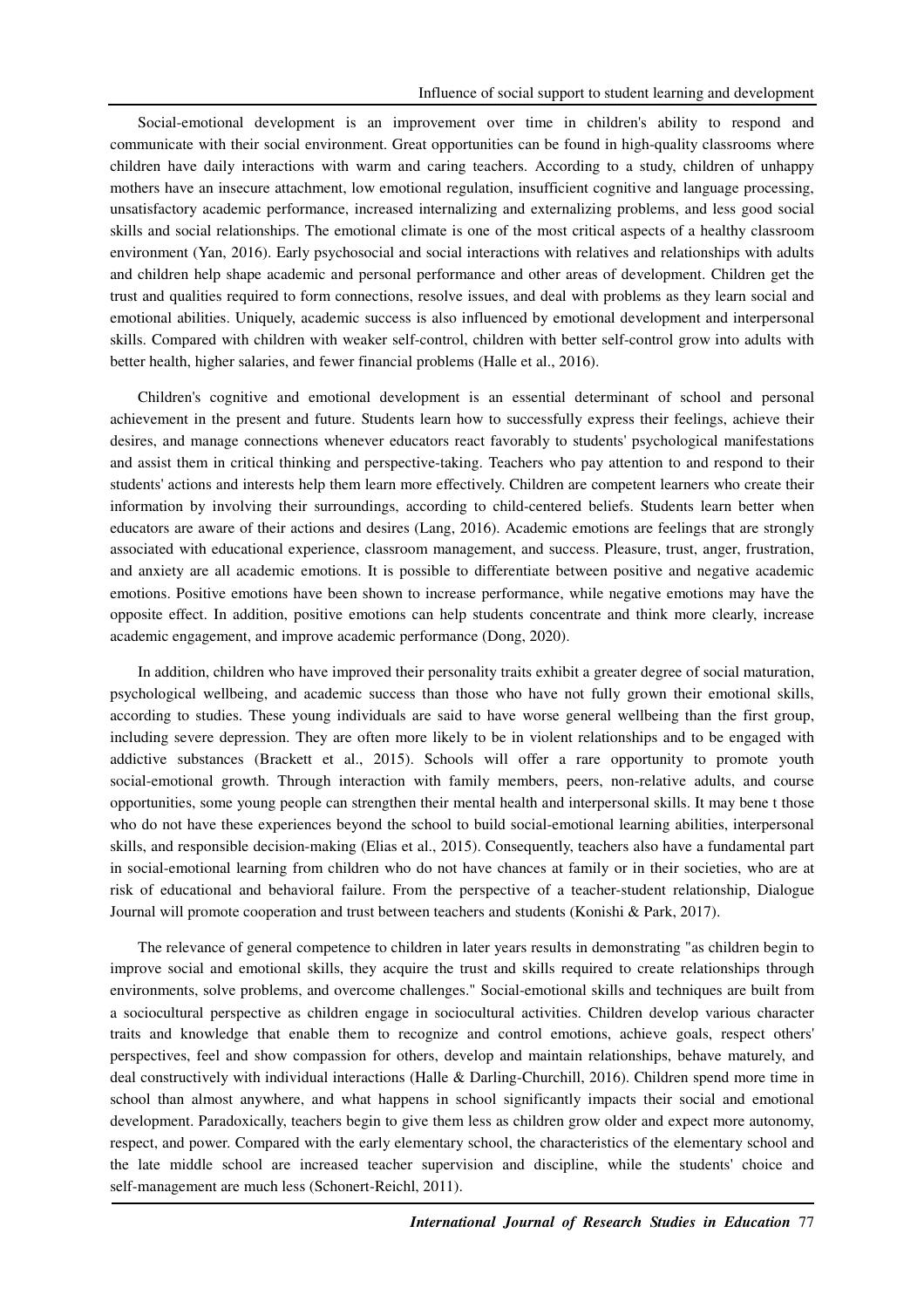Social-emotional development is an improvement over time in children's ability to respond and communicate with their social environment. Great opportunities can be found in high-quality classrooms where children have daily interactions with warm and caring teachers. According to a study, children of unhappy mothers have an insecure attachment, low emotional regulation, insufficient cognitive and language processing, unsatisfactory academic performance, increased internalizing and externalizing problems, and less good social skills and social relationships. The emotional climate is one of the most critical aspects of a healthy classroom environment (Yan, 2016). Early psychosocial and social interactions with relatives and relationships with adults and children help shape academic and personal performance and other areas of development. Children get the trust and qualities required to form connections, resolve issues, and deal with problems as they learn social and emotional abilities. Uniquely, academic success is also influenced by emotional development and interpersonal skills. Compared with children with weaker self-control, children with better self-control grow into adults with better health, higher salaries, and fewer financial problems (Halle et al., 2016).

Children's cognitive and emotional development is an essential determinant of school and personal achievement in the present and future. Students learn how to successfully express their feelings, achieve their desires, and manage connections whenever educators react favorably to students' psychological manifestations and assist them in critical thinking and perspective-taking. Teachers who pay attention to and respond to their students' actions and interests help them learn more effectively. Children are competent learners who create their information by involving their surroundings, according to child-centered beliefs. Students learn better when educators are aware of their actions and desires (Lang, 2016). Academic emotions are feelings that are strongly associated with educational experience, classroom management, and success. Pleasure, trust, anger, frustration, and anxiety are all academic emotions. It is possible to differentiate between positive and negative academic emotions. Positive emotions have been shown to increase performance, while negative emotions may have the opposite effect. In addition, positive emotions can help students concentrate and think more clearly, increase academic engagement, and improve academic performance (Dong, 2020).

In addition, children who have improved their personality traits exhibit a greater degree of social maturation, psychological wellbeing, and academic success than those who have not fully grown their emotional skills, according to studies. These young individuals are said to have worse general wellbeing than the first group, including severe depression. They are often more likely to be in violent relationships and to be engaged with addictive substances (Brackett et al., 2015). Schools will offer a rare opportunity to promote youth social-emotional growth. Through interaction with family members, peers, non-relative adults, and course opportunities, some young people can strengthen their mental health and interpersonal skills. It may bene t those who do not have these experiences beyond the school to build social-emotional learning abilities, interpersonal skills, and responsible decision-making (Elias et al., 2015). Consequently, teachers also have a fundamental part in social-emotional learning from children who do not have chances at family or in their societies, who are at risk of educational and behavioral failure. From the perspective of a teacher-student relationship, Dialogue Journal will promote cooperation and trust between teachers and students (Konishi & Park, 2017).

The relevance of general competence to children in later years results in demonstrating "as children begin to improve social and emotional skills, they acquire the trust and skills required to create relationships through environments, solve problems, and overcome challenges." Social-emotional skills and techniques are built from a sociocultural perspective as children engage in sociocultural activities. Children develop various character traits and knowledge that enable them to recognize and control emotions, achieve goals, respect others' perspectives, feel and show compassion for others, develop and maintain relationships, behave maturely, and deal constructively with individual interactions (Halle & Darling-Churchill, 2016). Children spend more time in school than almost anywhere, and what happens in school significantly impacts their social and emotional development. Paradoxically, teachers begin to give them less as children grow older and expect more autonomy, respect, and power. Compared with the early elementary school, the characteristics of the elementary school and the late middle school are increased teacher supervision and discipline, while the students' choice and self-management are much less (Schonert-Reichl, 2011).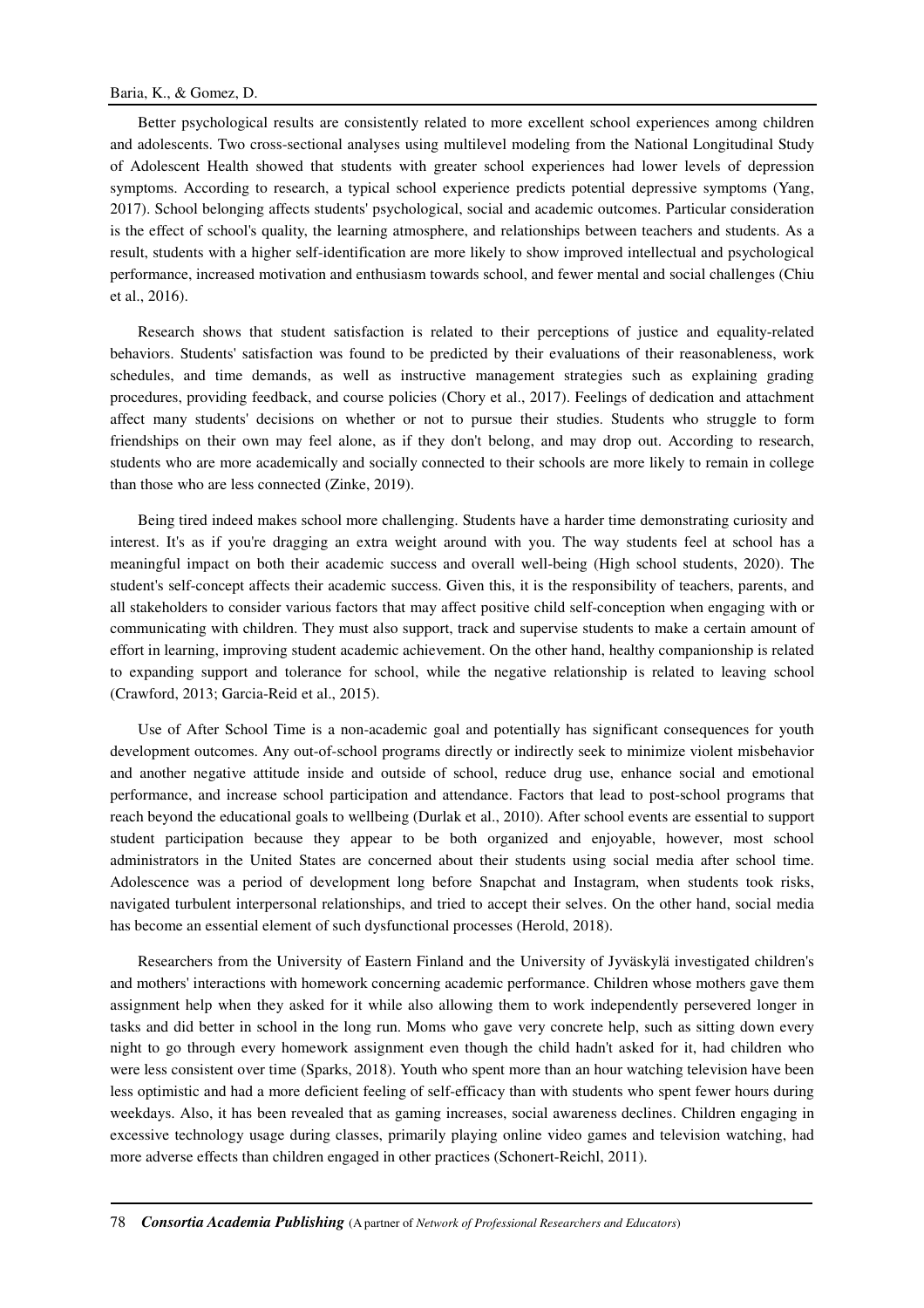### Baria, K., & Gomez, D.

Better psychological results are consistently related to more excellent school experiences among children and adolescents. Two cross-sectional analyses using multilevel modeling from the National Longitudinal Study of Adolescent Health showed that students with greater school experiences had lower levels of depression symptoms. According to research, a typical school experience predicts potential depressive symptoms (Yang, 2017). School belonging affects students' psychological, social and academic outcomes. Particular consideration is the effect of school's quality, the learning atmosphere, and relationships between teachers and students. As a result, students with a higher self-identification are more likely to show improved intellectual and psychological performance, increased motivation and enthusiasm towards school, and fewer mental and social challenges (Chiu et al., 2016).

Research shows that student satisfaction is related to their perceptions of justice and equality-related behaviors. Students' satisfaction was found to be predicted by their evaluations of their reasonableness, work schedules, and time demands, as well as instructive management strategies such as explaining grading procedures, providing feedback, and course policies (Chory et al., 2017). Feelings of dedication and attachment affect many students' decisions on whether or not to pursue their studies. Students who struggle to form friendships on their own may feel alone, as if they don't belong, and may drop out. According to research, students who are more academically and socially connected to their schools are more likely to remain in college than those who are less connected (Zinke, 2019).

Being tired indeed makes school more challenging. Students have a harder time demonstrating curiosity and interest. It's as if you're dragging an extra weight around with you. The way students feel at school has a meaningful impact on both their academic success and overall well-being (High school students, 2020). The student's self-concept affects their academic success. Given this, it is the responsibility of teachers, parents, and all stakeholders to consider various factors that may affect positive child self-conception when engaging with or communicating with children. They must also support, track and supervise students to make a certain amount of effort in learning, improving student academic achievement. On the other hand, healthy companionship is related to expanding support and tolerance for school, while the negative relationship is related to leaving school (Crawford, 2013; Garcia-Reid et al., 2015).

Use of After School Time is a non-academic goal and potentially has significant consequences for youth development outcomes. Any out-of-school programs directly or indirectly seek to minimize violent misbehavior and another negative attitude inside and outside of school, reduce drug use, enhance social and emotional performance, and increase school participation and attendance. Factors that lead to post-school programs that reach beyond the educational goals to wellbeing (Durlak et al., 2010). After school events are essential to support student participation because they appear to be both organized and enjoyable, however, most school administrators in the United States are concerned about their students using social media after school time. Adolescence was a period of development long before Snapchat and Instagram, when students took risks, navigated turbulent interpersonal relationships, and tried to accept their selves. On the other hand, social media has become an essential element of such dysfunctional processes (Herold, 2018).

Researchers from the University of Eastern Finland and the University of Jyväskylä investigated children's and mothers' interactions with homework concerning academic performance. Children whose mothers gave them assignment help when they asked for it while also allowing them to work independently persevered longer in tasks and did better in school in the long run. Moms who gave very concrete help, such as sitting down every night to go through every homework assignment even though the child hadn't asked for it, had children who were less consistent over time (Sparks, 2018). Youth who spent more than an hour watching television have been less optimistic and had a more deficient feeling of self-efficacy than with students who spent fewer hours during weekdays. Also, it has been revealed that as gaming increases, social awareness declines. Children engaging in excessive technology usage during classes, primarily playing online video games and television watching, had more adverse effects than children engaged in other practices (Schonert-Reichl, 2011).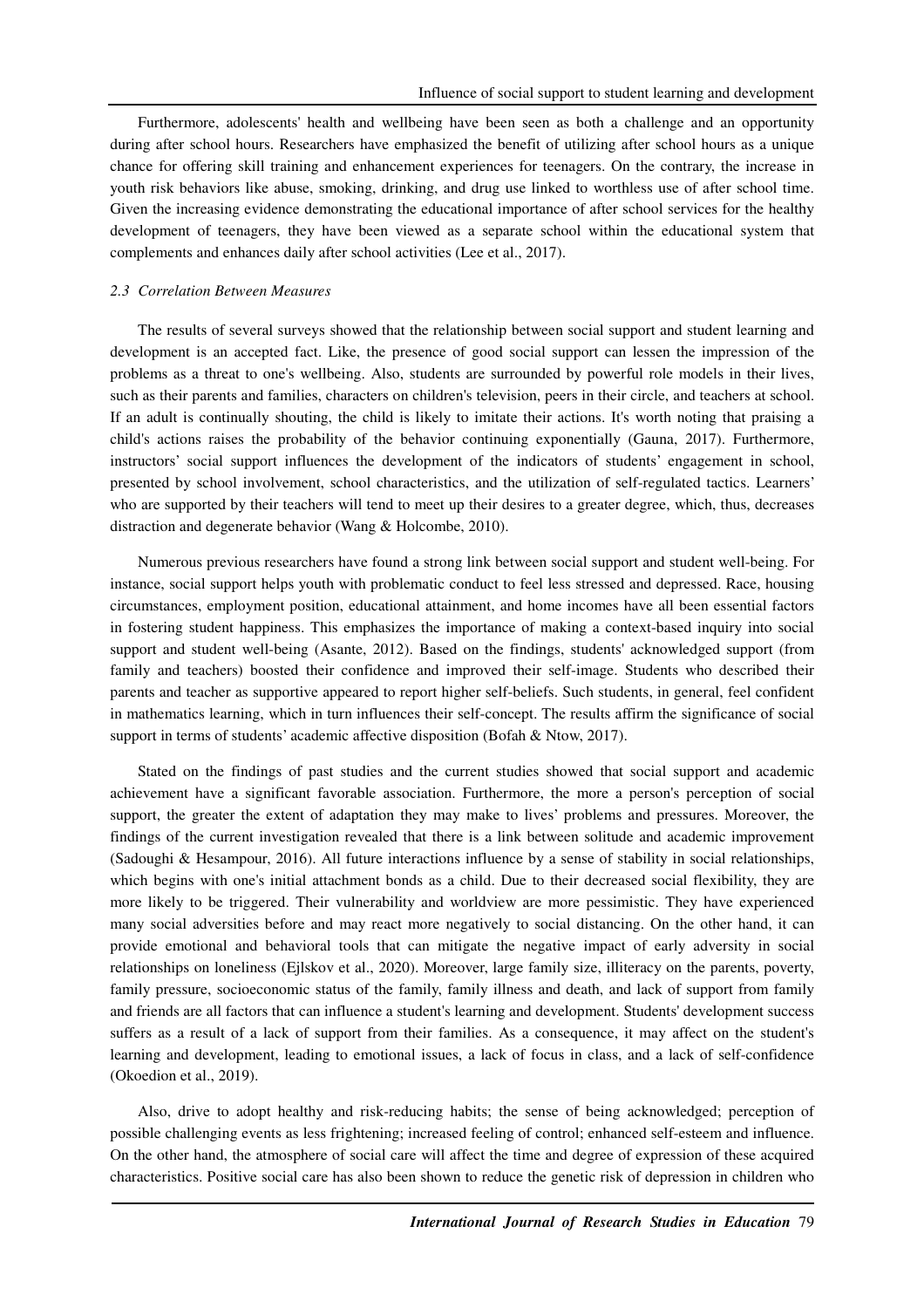Furthermore, adolescents' health and wellbeing have been seen as both a challenge and an opportunity during after school hours. Researchers have emphasized the benefit of utilizing after school hours as a unique chance for offering skill training and enhancement experiences for teenagers. On the contrary, the increase in youth risk behaviors like abuse, smoking, drinking, and drug use linked to worthless use of after school time. Given the increasing evidence demonstrating the educational importance of after school services for the healthy development of teenagers, they have been viewed as a separate school within the educational system that complements and enhances daily after school activities (Lee et al., 2017).

#### *2.3 Correlation Between Measures*

The results of several surveys showed that the relationship between social support and student learning and development is an accepted fact. Like, the presence of good social support can lessen the impression of the problems as a threat to one's wellbeing. Also, students are surrounded by powerful role models in their lives, such as their parents and families, characters on children's television, peers in their circle, and teachers at school. If an adult is continually shouting, the child is likely to imitate their actions. It's worth noting that praising a child's actions raises the probability of the behavior continuing exponentially (Gauna, 2017). Furthermore, instructors' social support influences the development of the indicators of students' engagement in school, presented by school involvement, school characteristics, and the utilization of self-regulated tactics. Learners' who are supported by their teachers will tend to meet up their desires to a greater degree, which, thus, decreases distraction and degenerate behavior (Wang & Holcombe, 2010).

Numerous previous researchers have found a strong link between social support and student well-being. For instance, social support helps youth with problematic conduct to feel less stressed and depressed. Race, housing circumstances, employment position, educational attainment, and home incomes have all been essential factors in fostering student happiness. This emphasizes the importance of making a context-based inquiry into social support and student well-being (Asante, 2012). Based on the findings, students' acknowledged support (from family and teachers) boosted their confidence and improved their self-image. Students who described their parents and teacher as supportive appeared to report higher self-beliefs. Such students, in general, feel confident in mathematics learning, which in turn influences their self-concept. The results affirm the significance of social support in terms of students' academic affective disposition (Bofah & Ntow, 2017).

Stated on the findings of past studies and the current studies showed that social support and academic achievement have a significant favorable association. Furthermore, the more a person's perception of social support, the greater the extent of adaptation they may make to lives' problems and pressures. Moreover, the findings of the current investigation revealed that there is a link between solitude and academic improvement (Sadoughi & Hesampour, 2016). All future interactions influence by a sense of stability in social relationships, which begins with one's initial attachment bonds as a child. Due to their decreased social flexibility, they are more likely to be triggered. Their vulnerability and worldview are more pessimistic. They have experienced many social adversities before and may react more negatively to social distancing. On the other hand, it can provide emotional and behavioral tools that can mitigate the negative impact of early adversity in social relationships on loneliness (Ejlskov et al., 2020). Moreover, large family size, illiteracy on the parents, poverty, family pressure, socioeconomic status of the family, family illness and death, and lack of support from family and friends are all factors that can influence a student's learning and development. Students' development success suffers as a result of a lack of support from their families. As a consequence, it may affect on the student's learning and development, leading to emotional issues, a lack of focus in class, and a lack of self-confidence (Okoedion et al., 2019).

Also, drive to adopt healthy and risk-reducing habits; the sense of being acknowledged; perception of possible challenging events as less frightening; increased feeling of control; enhanced self-esteem and influence. On the other hand, the atmosphere of social care will affect the time and degree of expression of these acquired characteristics. Positive social care has also been shown to reduce the genetic risk of depression in children who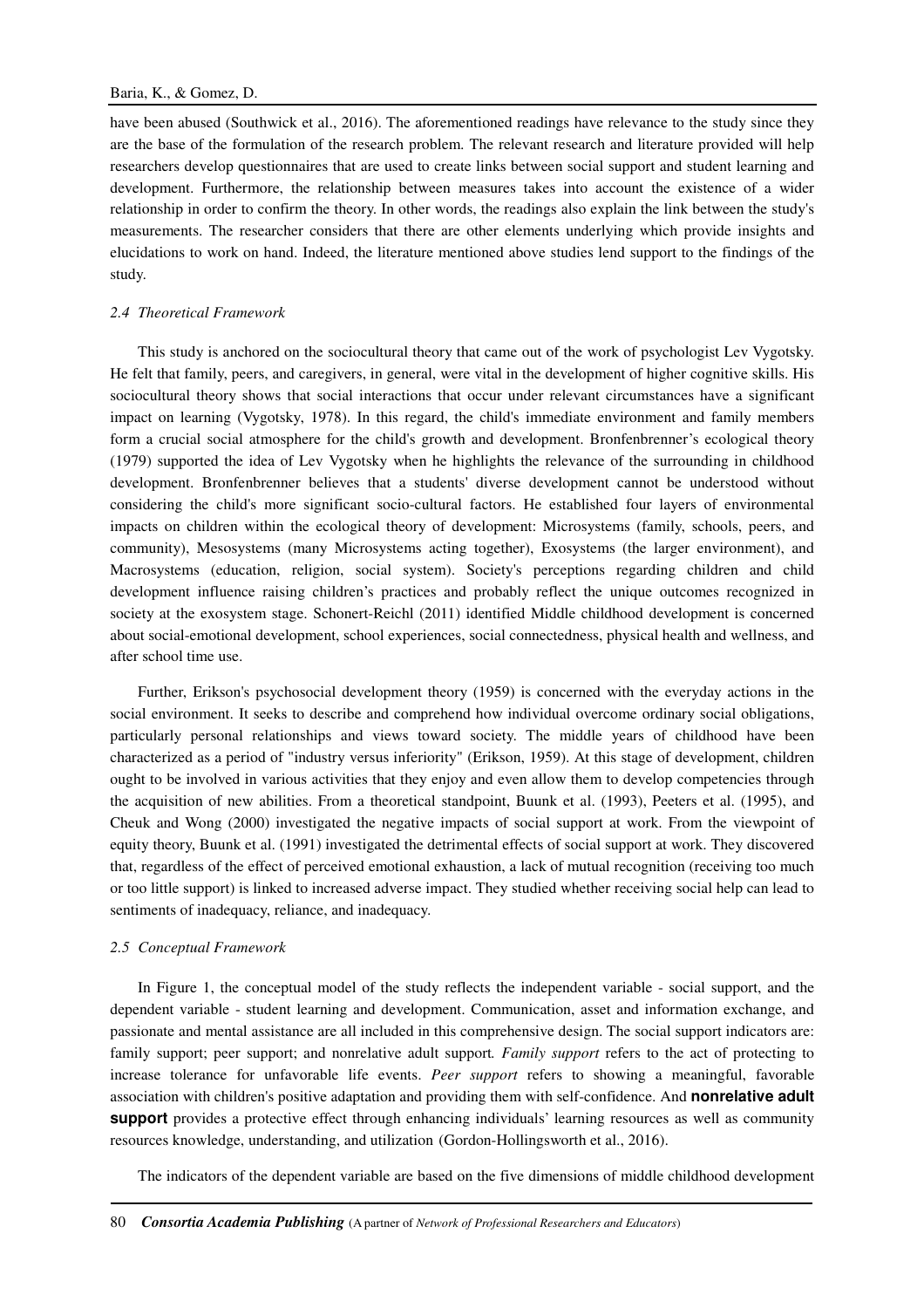have been abused (Southwick et al., 2016). The aforementioned readings have relevance to the study since they are the base of the formulation of the research problem. The relevant research and literature provided will help researchers develop questionnaires that are used to create links between social support and student learning and development. Furthermore, the relationship between measures takes into account the existence of a wider relationship in order to confirm the theory. In other words, the readings also explain the link between the study's measurements. The researcher considers that there are other elements underlying which provide insights and elucidations to work on hand. Indeed, the literature mentioned above studies lend support to the findings of the study.

#### *2.4 Theoretical Framework*

This study is anchored on the sociocultural theory that came out of the work of psychologist Lev Vygotsky. He felt that family, peers, and caregivers, in general, were vital in the development of higher cognitive skills. His sociocultural theory shows that social interactions that occur under relevant circumstances have a significant impact on learning (Vygotsky, 1978). In this regard, the child's immediate environment and family members form a crucial social atmosphere for the child's growth and development. Bronfenbrenner's ecological theory (1979) supported the idea of Lev Vygotsky when he highlights the relevance of the surrounding in childhood development. Bronfenbrenner believes that a students' diverse development cannot be understood without considering the child's more significant socio-cultural factors. He established four layers of environmental impacts on children within the ecological theory of development: Microsystems (family, schools, peers, and community), Mesosystems (many Microsystems acting together), Exosystems (the larger environment), and Macrosystems (education, religion, social system). Society's perceptions regarding children and child development influence raising children's practices and probably reflect the unique outcomes recognized in society at the exosystem stage. Schonert-Reichl (2011) identified Middle childhood development is concerned about social-emotional development, school experiences, social connectedness, physical health and wellness, and after school time use.

Further, Erikson's psychosocial development theory (1959) is concerned with the everyday actions in the social environment. It seeks to describe and comprehend how individual overcome ordinary social obligations, particularly personal relationships and views toward society. The middle years of childhood have been characterized as a period of "industry versus inferiority" (Erikson, 1959). At this stage of development, children ought to be involved in various activities that they enjoy and even allow them to develop competencies through the acquisition of new abilities. From a theoretical standpoint, Buunk et al. (1993), Peeters et al. (1995), and Cheuk and Wong (2000) investigated the negative impacts of social support at work. From the viewpoint of equity theory, Buunk et al. (1991) investigated the detrimental effects of social support at work. They discovered that, regardless of the effect of perceived emotional exhaustion, a lack of mutual recognition (receiving too much or too little support) is linked to increased adverse impact. They studied whether receiving social help can lead to sentiments of inadequacy, reliance, and inadequacy.

#### *2.5 Conceptual Framework*

In Figure 1, the conceptual model of the study reflects the independent variable - social support, and the dependent variable - student learning and development. Communication, asset and information exchange, and passionate and mental assistance are all included in this comprehensive design. The social support indicators are: family support; peer support; and nonrelative adult support*. Family support* refers to the act of protecting to increase tolerance for unfavorable life events. *Peer support* refers to showing a meaningful, favorable association with children's positive adaptation and providing them with self-confidence. And **nonrelative adult support** provides a protective effect through enhancing individuals' learning resources as well as community resources knowledge, understanding, and utilization (Gordon-Hollingsworth et al., 2016).

The indicators of the dependent variable are based on the five dimensions of middle childhood development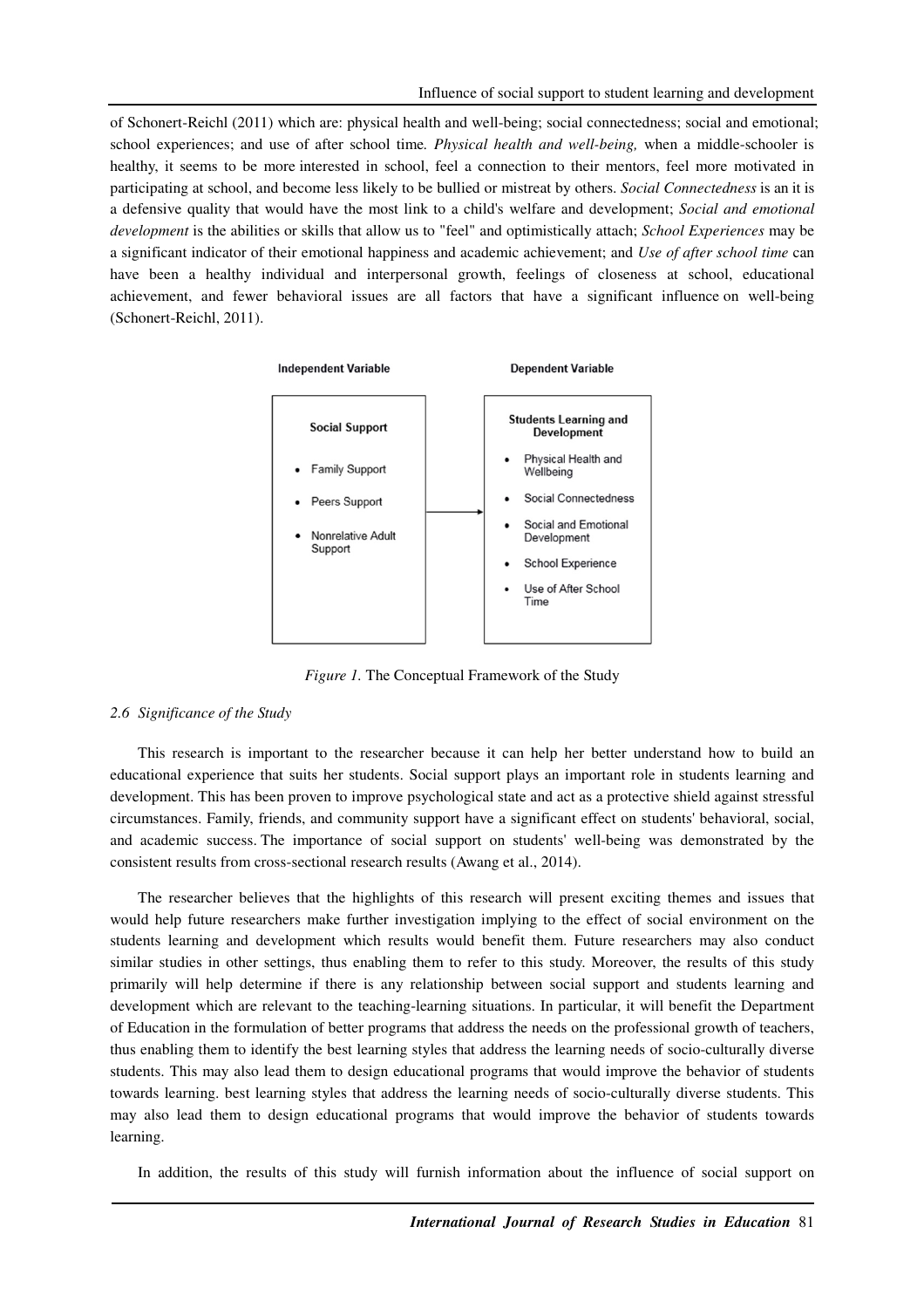of Schonert-Reichl (2011) which are: physical health and well-being; social connectedness; social and emotional; school experiences; and use of after school time*. Physical health and well-being,* when a middle-schooler is healthy, it seems to be more interested in school, feel a connection to their mentors, feel more motivated in participating at school, and become less likely to be bullied or mistreat by others. *Social Connectedness* is an it is a defensive quality that would have the most link to a child's welfare and development; *Social and emotional development* is the abilities or skills that allow us to "feel" and optimistically attach; *School Experiences* may be a significant indicator of their emotional happiness and academic achievement; and *Use of after school time* can have been a healthy individual and interpersonal growth, feelings of closeness at school, educational achievement, and fewer behavioral issues are all factors that have a significant influence on well-being (Schonert-Reichl, 2011).



*Figure 1.* The Conceptual Framework of the Study

#### *2.6 Significance of the Study*

This research is important to the researcher because it can help her better understand how to build an educational experience that suits her students. Social support plays an important role in students learning and development. This has been proven to improve psychological state and act as a protective shield against stressful circumstances. Family, friends, and community support have a significant effect on students' behavioral, social, and academic success. The importance of social support on students' well-being was demonstrated by the consistent results from cross-sectional research results (Awang et al., 2014).

The researcher believes that the highlights of this research will present exciting themes and issues that would help future researchers make further investigation implying to the effect of social environment on the students learning and development which results would benefit them. Future researchers may also conduct similar studies in other settings, thus enabling them to refer to this study. Moreover, the results of this study primarily will help determine if there is any relationship between social support and students learning and development which are relevant to the teaching-learning situations. In particular, it will benefit the Department of Education in the formulation of better programs that address the needs on the professional growth of teachers, thus enabling them to identify the best learning styles that address the learning needs of socio-culturally diverse students. This may also lead them to design educational programs that would improve the behavior of students towards learning. best learning styles that address the learning needs of socio-culturally diverse students. This may also lead them to design educational programs that would improve the behavior of students towards learning.

In addition, the results of this study will furnish information about the influence of social support on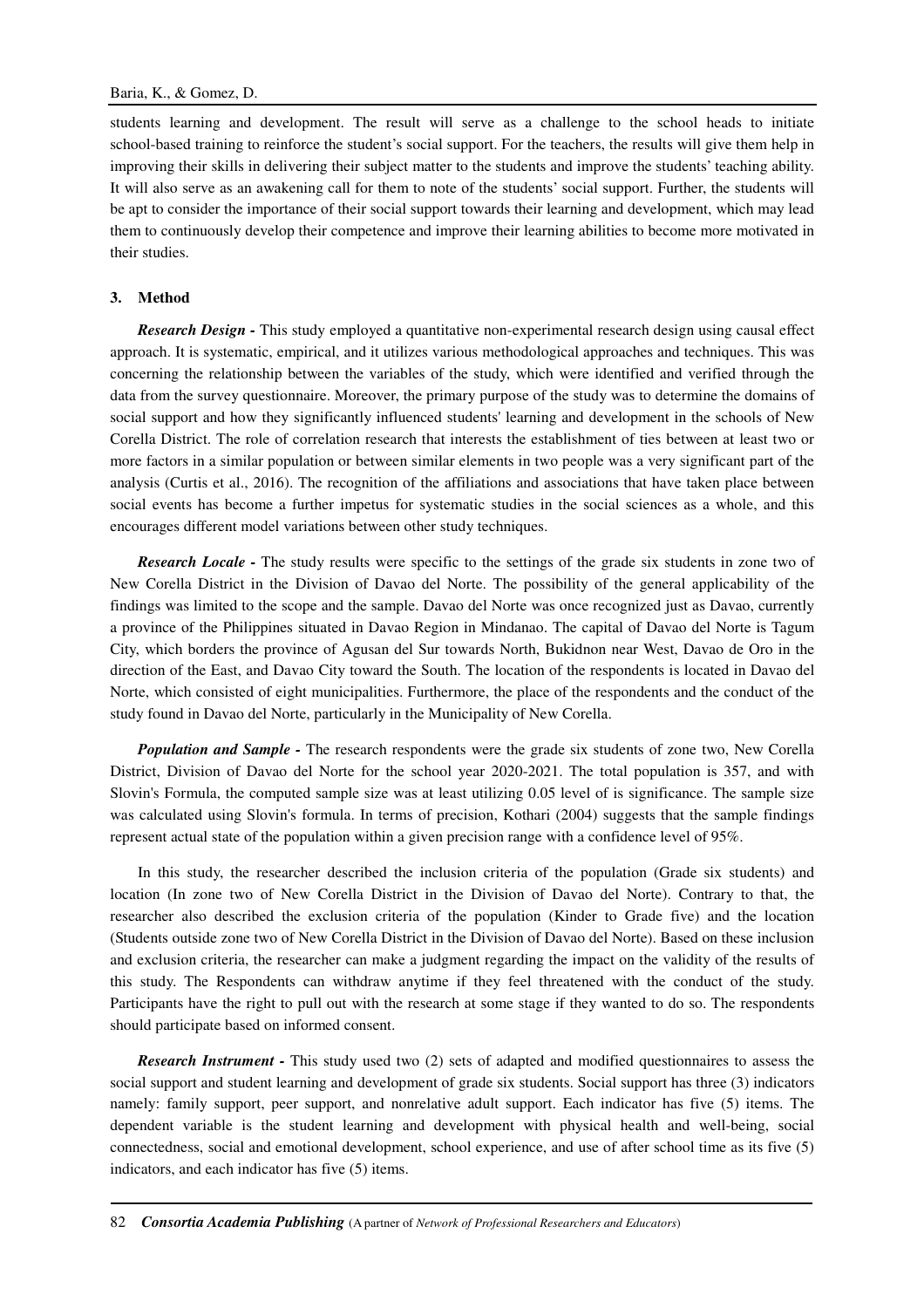students learning and development. The result will serve as a challenge to the school heads to initiate school-based training to reinforce the student's social support. For the teachers, the results will give them help in improving their skills in delivering their subject matter to the students and improve the students' teaching ability. It will also serve as an awakening call for them to note of the students' social support. Further, the students will be apt to consider the importance of their social support towards their learning and development, which may lead them to continuously develop their competence and improve their learning abilities to become more motivated in their studies.

# **3. Method**

*Research Design -* This study employed a quantitative non-experimental research design using causal effect approach. It is systematic, empirical, and it utilizes various methodological approaches and techniques. This was concerning the relationship between the variables of the study, which were identified and verified through the data from the survey questionnaire. Moreover, the primary purpose of the study was to determine the domains of social support and how they significantly influenced students' learning and development in the schools of New Corella District. The role of correlation research that interests the establishment of ties between at least two or more factors in a similar population or between similar elements in two people was a very significant part of the analysis (Curtis et al., 2016). The recognition of the affiliations and associations that have taken place between social events has become a further impetus for systematic studies in the social sciences as a whole, and this encourages different model variations between other study techniques.

*Research Locale -* The study results were specific to the settings of the grade six students in zone two of New Corella District in the Division of Davao del Norte. The possibility of the general applicability of the findings was limited to the scope and the sample. Davao del Norte was once recognized just as Davao, currently a province of the Philippines situated in Davao Region in Mindanao. The capital of Davao del Norte is Tagum City, which borders the province of Agusan del Sur towards North, Bukidnon near West, Davao de Oro in the direction of the East, and Davao City toward the South. The location of the respondents is located in Davao del Norte, which consisted of eight municipalities. Furthermore, the place of the respondents and the conduct of the study found in Davao del Norte, particularly in the Municipality of New Corella.

*Population and Sample -* The research respondents were the grade six students of zone two, New Corella District, Division of Davao del Norte for the school year 2020-2021. The total population is 357, and with Slovin's Formula, the computed sample size was at least utilizing 0.05 level of is significance. The sample size was calculated using Slovin's formula. In terms of precision, Kothari (2004) suggests that the sample findings represent actual state of the population within a given precision range with a confidence level of 95%.

In this study, the researcher described the inclusion criteria of the population (Grade six students) and location (In zone two of New Corella District in the Division of Davao del Norte). Contrary to that, the researcher also described the exclusion criteria of the population (Kinder to Grade five) and the location (Students outside zone two of New Corella District in the Division of Davao del Norte). Based on these inclusion and exclusion criteria, the researcher can make a judgment regarding the impact on the validity of the results of this study. The Respondents can withdraw anytime if they feel threatened with the conduct of the study. Participants have the right to pull out with the research at some stage if they wanted to do so. The respondents should participate based on informed consent.

*Research Instrument -* This study used two (2) sets of adapted and modified questionnaires to assess the social support and student learning and development of grade six students. Social support has three (3) indicators namely: family support, peer support, and nonrelative adult support. Each indicator has five (5) items. The dependent variable is the student learning and development with physical health and well-being, social connectedness, social and emotional development, school experience, and use of after school time as its five (5) indicators, and each indicator has five (5) items.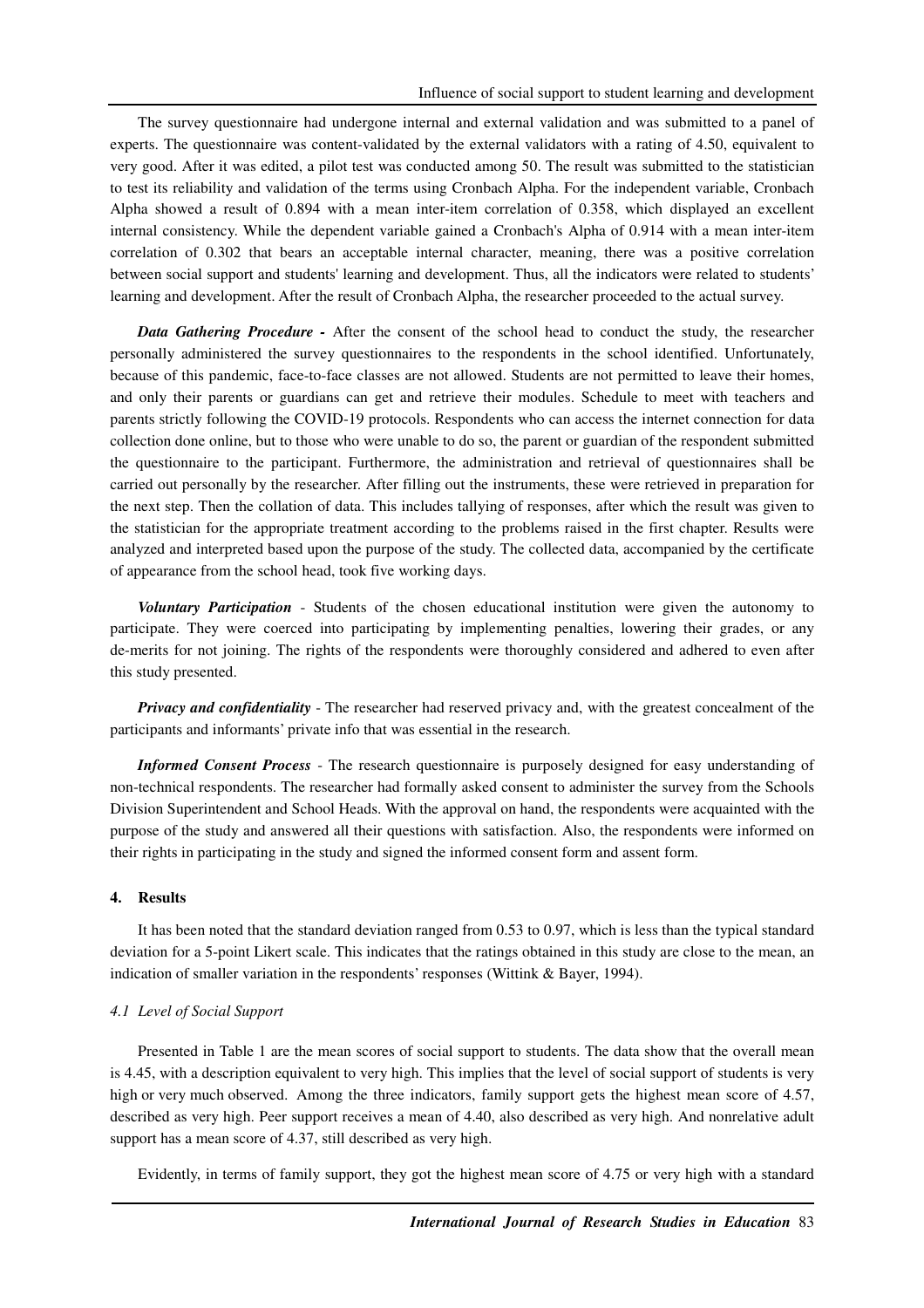The survey questionnaire had undergone internal and external validation and was submitted to a panel of experts. The questionnaire was content-validated by the external validators with a rating of 4.50, equivalent to very good. After it was edited, a pilot test was conducted among 50. The result was submitted to the statistician to test its reliability and validation of the terms using Cronbach Alpha. For the independent variable, Cronbach Alpha showed a result of 0.894 with a mean inter-item correlation of 0.358, which displayed an excellent internal consistency. While the dependent variable gained a Cronbach's Alpha of 0.914 with a mean inter-item correlation of 0.302 that bears an acceptable internal character, meaning, there was a positive correlation between social support and students' learning and development. Thus, all the indicators were related to students' learning and development. After the result of Cronbach Alpha, the researcher proceeded to the actual survey.

*Data Gathering Procedure -* After the consent of the school head to conduct the study, the researcher personally administered the survey questionnaires to the respondents in the school identified. Unfortunately, because of this pandemic, face-to-face classes are not allowed. Students are not permitted to leave their homes, and only their parents or guardians can get and retrieve their modules. Schedule to meet with teachers and parents strictly following the COVID-19 protocols. Respondents who can access the internet connection for data collection done online, but to those who were unable to do so, the parent or guardian of the respondent submitted the questionnaire to the participant. Furthermore, the administration and retrieval of questionnaires shall be carried out personally by the researcher. After filling out the instruments, these were retrieved in preparation for the next step. Then the collation of data. This includes tallying of responses, after which the result was given to the statistician for the appropriate treatment according to the problems raised in the first chapter. Results were analyzed and interpreted based upon the purpose of the study. The collected data, accompanied by the certificate of appearance from the school head, took five working days.

*Voluntary Participation* - Students of the chosen educational institution were given the autonomy to participate. They were coerced into participating by implementing penalties, lowering their grades, or any de-merits for not joining. The rights of the respondents were thoroughly considered and adhered to even after this study presented.

*Privacy and confidentiality* - The researcher had reserved privacy and, with the greatest concealment of the participants and informants' private info that was essential in the research.

*Informed Consent Process* - The research questionnaire is purposely designed for easy understanding of non-technical respondents. The researcher had formally asked consent to administer the survey from the Schools Division Superintendent and School Heads. With the approval on hand, the respondents were acquainted with the purpose of the study and answered all their questions with satisfaction. Also, the respondents were informed on their rights in participating in the study and signed the informed consent form and assent form.

### **4. Results**

It has been noted that the standard deviation ranged from 0.53 to 0.97, which is less than the typical standard deviation for a 5-point Likert scale. This indicates that the ratings obtained in this study are close to the mean, an indication of smaller variation in the respondents' responses (Wittink & Bayer, 1994).

#### *4.1 Level of Social Support*

Presented in Table 1 are the mean scores of social support to students. The data show that the overall mean is 4.45, with a description equivalent to very high. This implies that the level of social support of students is very high or very much observed. Among the three indicators, family support gets the highest mean score of 4.57, described as very high. Peer support receives a mean of 4.40, also described as very high. And nonrelative adult support has a mean score of 4.37, still described as very high.

Evidently, in terms of family support, they got the highest mean score of 4.75 or very high with a standard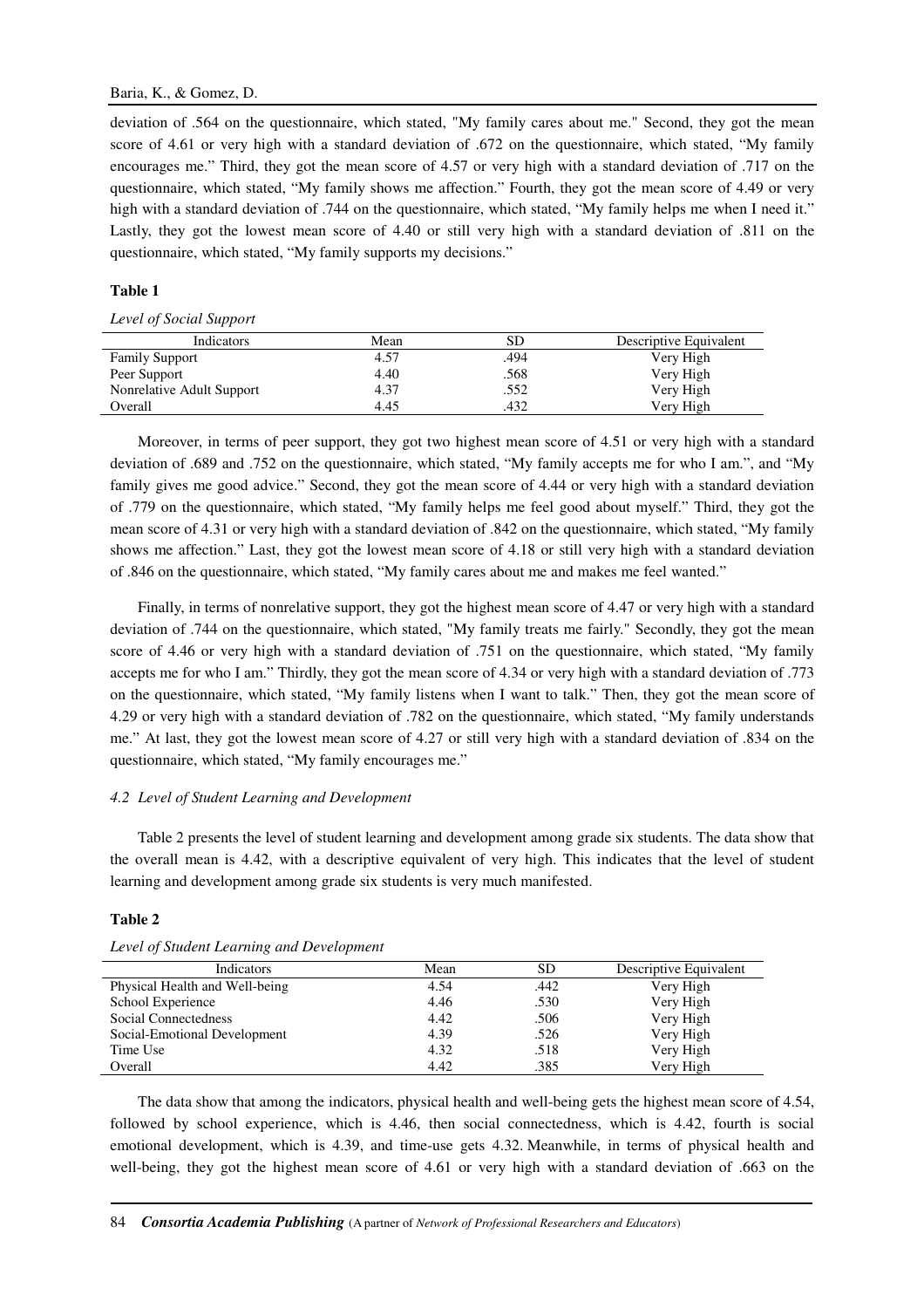### Baria, K., & Gomez, D.

deviation of .564 on the questionnaire, which stated, "My family cares about me." Second, they got the mean score of 4.61 or very high with a standard deviation of .672 on the questionnaire, which stated, "My family encourages me." Third, they got the mean score of 4.57 or very high with a standard deviation of .717 on the questionnaire, which stated, "My family shows me affection." Fourth, they got the mean score of 4.49 or very high with a standard deviation of .744 on the questionnaire, which stated, "My family helps me when I need it." Lastly, they got the lowest mean score of 4.40 or still very high with a standard deviation of .811 on the questionnaire, which stated, "My family supports my decisions."

### **Table 1**

#### *Level of Social Support*

| Indicators                | Mean | SD   | Descriptive Equivalent |
|---------------------------|------|------|------------------------|
| <b>Family Support</b>     | 4.57 | .494 | Very High              |
| Peer Support              | 4.40 | .568 | Very High              |
| Nonrelative Adult Support | 4.37 | .552 | Very High              |
| Overall                   | 4.45 | .432 | Very High              |

Moreover, in terms of peer support, they got two highest mean score of 4.51 or very high with a standard deviation of .689 and .752 on the questionnaire, which stated, "My family accepts me for who I am.", and "My family gives me good advice." Second, they got the mean score of 4.44 or very high with a standard deviation of .779 on the questionnaire, which stated, "My family helps me feel good about myself." Third, they got the mean score of 4.31 or very high with a standard deviation of .842 on the questionnaire, which stated, "My family shows me affection." Last, they got the lowest mean score of 4.18 or still very high with a standard deviation of .846 on the questionnaire, which stated, "My family cares about me and makes me feel wanted."

Finally, in terms of nonrelative support, they got the highest mean score of 4.47 or very high with a standard deviation of .744 on the questionnaire, which stated, "My family treats me fairly." Secondly, they got the mean score of 4.46 or very high with a standard deviation of .751 on the questionnaire, which stated, "My family accepts me for who I am." Thirdly, they got the mean score of 4.34 or very high with a standard deviation of .773 on the questionnaire, which stated, "My family listens when I want to talk." Then, they got the mean score of 4.29 or very high with a standard deviation of .782 on the questionnaire, which stated, "My family understands me." At last, they got the lowest mean score of 4.27 or still very high with a standard deviation of .834 on the questionnaire, which stated, "My family encourages me."

# *4.2 Level of Student Learning and Development*

Table 2 presents the level of student learning and development among grade six students. The data show that the overall mean is 4.42, with a descriptive equivalent of very high. This indicates that the level of student learning and development among grade six students is very much manifested.

#### **Table 2**

| Indicators                     | Mean | SD   | Descriptive Equivalent |
|--------------------------------|------|------|------------------------|
| Physical Health and Well-being | 4.54 | .442 | Very High              |
| School Experience              | 4.46 | .530 | Very High              |
| Social Connectedness           | 4.42 | .506 | Very High              |
| Social-Emotional Development   | 4.39 | .526 | Very High              |
| Time Use                       | 4.32 | .518 | Very High              |
| Overall                        | 4.42 | .385 | Very High              |

#### *Level of Student Learning and Development*

The data show that among the indicators, physical health and well-being gets the highest mean score of 4.54, followed by school experience, which is 4.46, then social connectedness, which is 4.42, fourth is social emotional development, which is 4.39, and time-use gets 4.32. Meanwhile, in terms of physical health and well-being, they got the highest mean score of 4.61 or very high with a standard deviation of .663 on the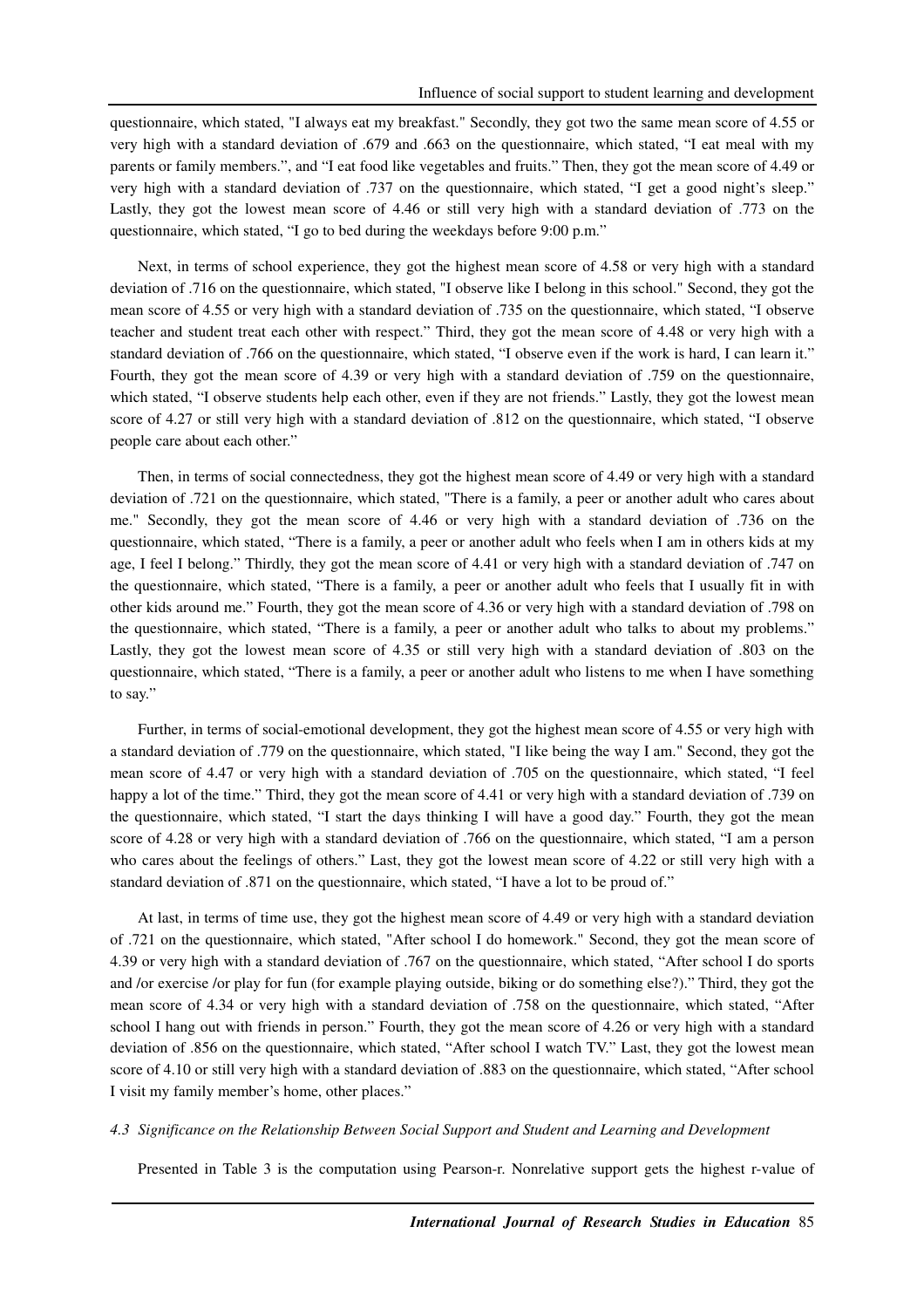questionnaire, which stated, "I always eat my breakfast." Secondly, they got two the same mean score of 4.55 or very high with a standard deviation of .679 and .663 on the questionnaire, which stated, "I eat meal with my parents or family members.", and "I eat food like vegetables and fruits." Then, they got the mean score of 4.49 or very high with a standard deviation of .737 on the questionnaire, which stated, "I get a good night's sleep." Lastly, they got the lowest mean score of 4.46 or still very high with a standard deviation of .773 on the questionnaire, which stated, "I go to bed during the weekdays before 9:00 p.m."

Next, in terms of school experience, they got the highest mean score of 4.58 or very high with a standard deviation of .716 on the questionnaire, which stated, "I observe like I belong in this school." Second, they got the mean score of 4.55 or very high with a standard deviation of .735 on the questionnaire, which stated, "I observe teacher and student treat each other with respect." Third, they got the mean score of 4.48 or very high with a standard deviation of .766 on the questionnaire, which stated, "I observe even if the work is hard, I can learn it." Fourth, they got the mean score of 4.39 or very high with a standard deviation of .759 on the questionnaire, which stated, "I observe students help each other, even if they are not friends." Lastly, they got the lowest mean score of 4.27 or still very high with a standard deviation of .812 on the questionnaire, which stated, "I observe people care about each other."

Then, in terms of social connectedness, they got the highest mean score of 4.49 or very high with a standard deviation of .721 on the questionnaire, which stated, "There is a family, a peer or another adult who cares about me." Secondly, they got the mean score of 4.46 or very high with a standard deviation of .736 on the questionnaire, which stated, "There is a family, a peer or another adult who feels when I am in others kids at my age, I feel I belong." Thirdly, they got the mean score of 4.41 or very high with a standard deviation of .747 on the questionnaire, which stated, "There is a family, a peer or another adult who feels that I usually fit in with other kids around me." Fourth, they got the mean score of 4.36 or very high with a standard deviation of .798 on the questionnaire, which stated, "There is a family, a peer or another adult who talks to about my problems." Lastly, they got the lowest mean score of 4.35 or still very high with a standard deviation of .803 on the questionnaire, which stated, "There is a family, a peer or another adult who listens to me when I have something to say."

Further, in terms of social-emotional development, they got the highest mean score of 4.55 or very high with a standard deviation of .779 on the questionnaire, which stated, "I like being the way I am." Second, they got the mean score of 4.47 or very high with a standard deviation of .705 on the questionnaire, which stated, "I feel happy a lot of the time." Third, they got the mean score of 4.41 or very high with a standard deviation of .739 on the questionnaire, which stated, "I start the days thinking I will have a good day." Fourth, they got the mean score of 4.28 or very high with a standard deviation of .766 on the questionnaire, which stated, "I am a person who cares about the feelings of others." Last, they got the lowest mean score of 4.22 or still very high with a standard deviation of .871 on the questionnaire, which stated, "I have a lot to be proud of."

At last, in terms of time use, they got the highest mean score of 4.49 or very high with a standard deviation of .721 on the questionnaire, which stated, "After school I do homework." Second, they got the mean score of 4.39 or very high with a standard deviation of .767 on the questionnaire, which stated, "After school I do sports and /or exercise /or play for fun (for example playing outside, biking or do something else?)." Third, they got the mean score of 4.34 or very high with a standard deviation of .758 on the questionnaire, which stated, "After school I hang out with friends in person." Fourth, they got the mean score of 4.26 or very high with a standard deviation of .856 on the questionnaire, which stated, "After school I watch TV." Last, they got the lowest mean score of 4.10 or still very high with a standard deviation of .883 on the questionnaire, which stated, "After school I visit my family member's home, other places."

### *4.3 Significance on the Relationship Between Social Support and Student and Learning and Development*

Presented in Table 3 is the computation using Pearson-r. Nonrelative support gets the highest r-value of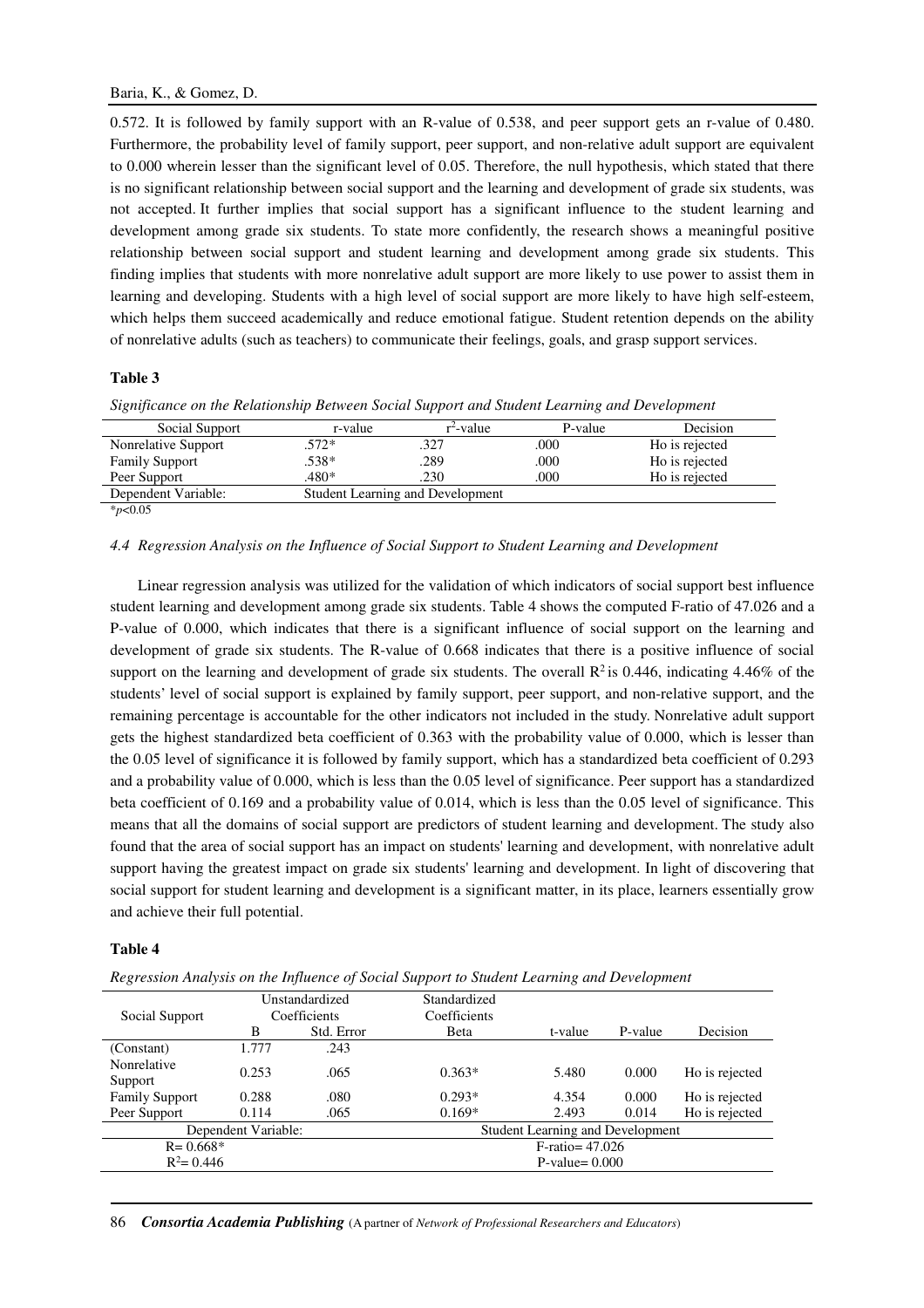0.572. It is followed by family support with an R-value of 0.538, and peer support gets an r-value of 0.480. Furthermore, the probability level of family support, peer support, and non-relative adult support are equivalent to 0.000 wherein lesser than the significant level of 0.05. Therefore, the null hypothesis, which stated that there is no significant relationship between social support and the learning and development of grade six students, was not accepted. It further implies that social support has a significant influence to the student learning and development among grade six students. To state more confidently, the research shows a meaningful positive relationship between social support and student learning and development among grade six students. This finding implies that students with more nonrelative adult support are more likely to use power to assist them in learning and developing. Students with a high level of social support are more likely to have high self-esteem, which helps them succeed academically and reduce emotional fatigue. Student retention depends on the ability of nonrelative adults (such as teachers) to communicate their feelings, goals, and grasp support services.

# **Table 3**

| Social Support        | r-value | $r^2$ -value                     | P-value | Decision       |
|-----------------------|---------|----------------------------------|---------|----------------|
| Nonrelative Support   | 572*    | .327                             | .000    | Ho is rejected |
| <b>Family Support</b> | .538*   | .289                             | .000    | Ho is rejected |
| Peer Support          | .480*   | .230                             | .000    | Ho is rejected |
| Dependent Variable:   |         | Student Learning and Development |         |                |
| $*_{p<0.05}$          |         |                                  |         |                |

*Significance on the Relationship Between Social Support and Student Learning and Development* 

### *4.4 Regression Analysis on the Influence of Social Support to Student Learning and Development*

Linear regression analysis was utilized for the validation of which indicators of social support best influence student learning and development among grade six students. Table 4 shows the computed F-ratio of 47.026 and a P-value of 0.000, which indicates that there is a significant influence of social support on the learning and development of grade six students. The R-value of 0.668 indicates that there is a positive influence of social support on the learning and development of grade six students. The overall  $\mathbb{R}^2$  is 0.446, indicating 4.46% of the students' level of social support is explained by family support, peer support, and non-relative support, and the remaining percentage is accountable for the other indicators not included in the study. Nonrelative adult support gets the highest standardized beta coefficient of 0.363 with the probability value of 0.000, which is lesser than the 0.05 level of significance it is followed by family support, which has a standardized beta coefficient of 0.293 and a probability value of 0.000, which is less than the 0.05 level of significance. Peer support has a standardized beta coefficient of 0.169 and a probability value of 0.014, which is less than the 0.05 level of significance. This means that all the domains of social support are predictors of student learning and development. The study also found that the area of social support has an impact on students' learning and development, with nonrelative adult support having the greatest impact on grade six students' learning and development. In light of discovering that social support for student learning and development is a significant matter, in its place, learners essentially grow and achieve their full potential.

# **Table 4**

| <u>the</u> coolernation for our the theories of bochur support to shadent <b>Bearing</b> and Beretophicity |                                |            |                                         |                    |         |                |
|------------------------------------------------------------------------------------------------------------|--------------------------------|------------|-----------------------------------------|--------------------|---------|----------------|
| Social Support                                                                                             | Unstandardized<br>Coefficients |            | Standardized<br>Coefficients            |                    |         |                |
|                                                                                                            | B                              | Std. Error | <b>Beta</b>                             | t-value            | P-value | Decision       |
| (Constant)                                                                                                 | 1.777                          | .243       |                                         |                    |         |                |
| Nonrelative<br>Support                                                                                     | 0.253                          | .065       | $0.363*$                                | 5.480              | 0.000   | Ho is rejected |
| <b>Family Support</b>                                                                                      | 0.288                          | .080       | $0.293*$                                | 4.354              | 0.000   | Ho is rejected |
| Peer Support                                                                                               | 0.114                          | .065       | $0.169*$                                | 2.493              | 0.014   | Ho is rejected |
| Dependent Variable:                                                                                        |                                |            | <b>Student Learning and Development</b> |                    |         |                |
| $R = 0.668*$                                                                                               |                                |            |                                         | $F$ -ratio= 47.026 |         |                |
| $R^2 = 0.446$                                                                                              |                                |            | $P-value = 0.000$                       |                    |         |                |
|                                                                                                            |                                |            |                                         |                    |         |                |

*Regression Analysis on the Influence of Social Support to Student Learning and Development* 

86 *Consortia Academia Publishing* (A partner of *Network of Professional Researchers and Educators*)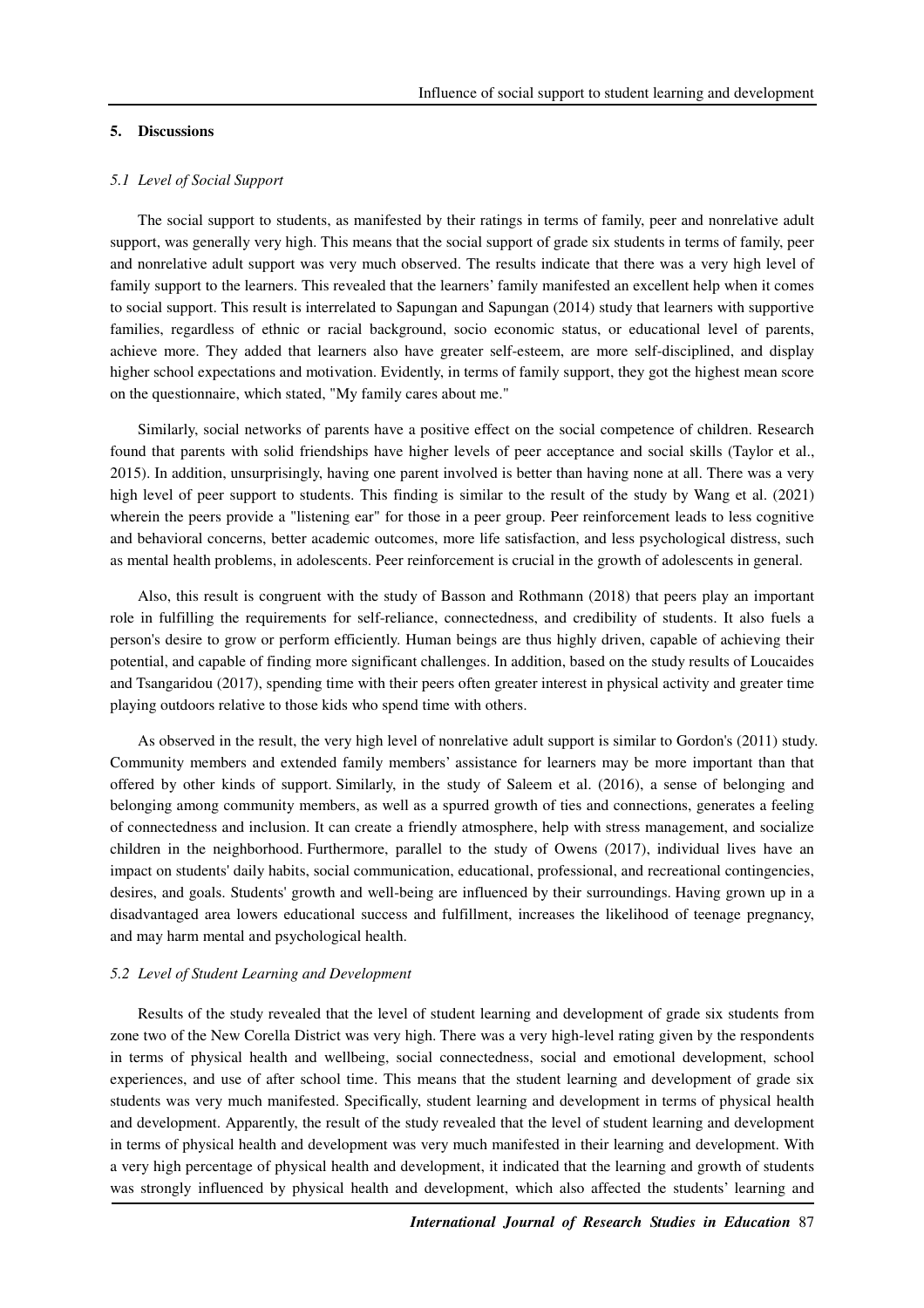#### **5. Discussions**

#### *5.1 Level of Social Support*

The social support to students, as manifested by their ratings in terms of family, peer and nonrelative adult support, was generally very high. This means that the social support of grade six students in terms of family, peer and nonrelative adult support was very much observed. The results indicate that there was a very high level of family support to the learners. This revealed that the learners' family manifested an excellent help when it comes to social support. This result is interrelated to Sapungan and Sapungan (2014) study that learners with supportive families, regardless of ethnic or racial background, socio economic status, or educational level of parents, achieve more. They added that learners also have greater self-esteem, are more self-disciplined, and display higher school expectations and motivation. Evidently, in terms of family support, they got the highest mean score on the questionnaire, which stated, "My family cares about me."

Similarly, social networks of parents have a positive effect on the social competence of children. Research found that parents with solid friendships have higher levels of peer acceptance and social skills (Taylor et al., 2015). In addition, unsurprisingly, having one parent involved is better than having none at all. There was a very high level of peer support to students. This finding is similar to the result of the study by Wang et al. (2021) wherein the peers provide a "listening ear" for those in a peer group. Peer reinforcement leads to less cognitive and behavioral concerns, better academic outcomes, more life satisfaction, and less psychological distress, such as mental health problems, in adolescents. Peer reinforcement is crucial in the growth of adolescents in general.

Also, this result is congruent with the study of Basson and Rothmann (2018) that peers play an important role in fulfilling the requirements for self-reliance, connectedness, and credibility of students. It also fuels a person's desire to grow or perform efficiently. Human beings are thus highly driven, capable of achieving their potential, and capable of finding more significant challenges. In addition, based on the study results of Loucaides and Tsangaridou (2017), spending time with their peers often greater interest in physical activity and greater time playing outdoors relative to those kids who spend time with others.

As observed in the result, the very high level of nonrelative adult support is similar to Gordon's (2011) study. Community members and extended family members' assistance for learners may be more important than that offered by other kinds of support. Similarly, in the study of Saleem et al. (2016), a sense of belonging and belonging among community members, as well as a spurred growth of ties and connections, generates a feeling of connectedness and inclusion. It can create a friendly atmosphere, help with stress management, and socialize children in the neighborhood. Furthermore, parallel to the study of Owens (2017), individual lives have an impact on students' daily habits, social communication, educational, professional, and recreational contingencies, desires, and goals. Students' growth and well-being are influenced by their surroundings. Having grown up in a disadvantaged area lowers educational success and fulfillment, increases the likelihood of teenage pregnancy, and may harm mental and psychological health.

#### *5.2 Level of Student Learning and Development*

Results of the study revealed that the level of student learning and development of grade six students from zone two of the New Corella District was very high. There was a very high-level rating given by the respondents in terms of physical health and wellbeing, social connectedness, social and emotional development, school experiences, and use of after school time. This means that the student learning and development of grade six students was very much manifested. Specifically, student learning and development in terms of physical health and development. Apparently, the result of the study revealed that the level of student learning and development in terms of physical health and development was very much manifested in their learning and development. With a very high percentage of physical health and development, it indicated that the learning and growth of students was strongly influenced by physical health and development, which also affected the students' learning and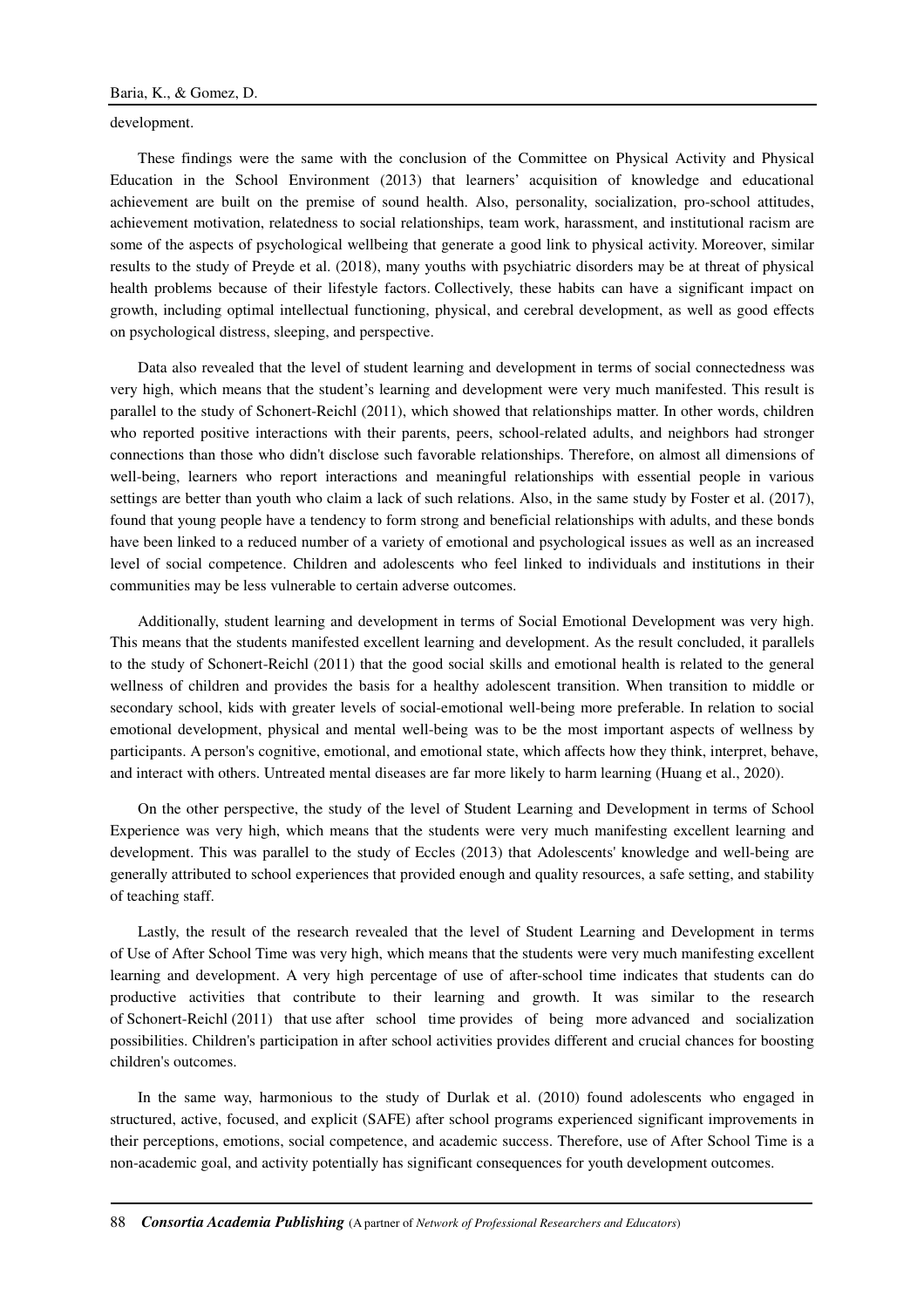development.

These findings were the same with the conclusion of the Committee on Physical Activity and Physical Education in the School Environment (2013) that learners' acquisition of knowledge and educational achievement are built on the premise of sound health. Also, personality, socialization, pro-school attitudes, achievement motivation, relatedness to social relationships, team work, harassment, and institutional racism are some of the aspects of psychological wellbeing that generate a good link to physical activity. Moreover, similar results to the study of Preyde et al. (2018), many youths with psychiatric disorders may be at threat of physical health problems because of their lifestyle factors. Collectively, these habits can have a significant impact on growth, including optimal intellectual functioning, physical, and cerebral development, as well as good effects on psychological distress, sleeping, and perspective.

Data also revealed that the level of student learning and development in terms of social connectedness was very high, which means that the student's learning and development were very much manifested. This result is parallel to the study of Schonert-Reichl (2011), which showed that relationships matter. In other words, children who reported positive interactions with their parents, peers, school-related adults, and neighbors had stronger connections than those who didn't disclose such favorable relationships. Therefore, on almost all dimensions of well-being, learners who report interactions and meaningful relationships with essential people in various settings are better than youth who claim a lack of such relations. Also, in the same study by Foster et al. (2017), found that young people have a tendency to form strong and beneficial relationships with adults, and these bonds have been linked to a reduced number of a variety of emotional and psychological issues as well as an increased level of social competence. Children and adolescents who feel linked to individuals and institutions in their communities may be less vulnerable to certain adverse outcomes.

Additionally, student learning and development in terms of Social Emotional Development was very high. This means that the students manifested excellent learning and development. As the result concluded, it parallels to the study of Schonert-Reichl (2011) that the good social skills and emotional health is related to the general wellness of children and provides the basis for a healthy adolescent transition. When transition to middle or secondary school, kids with greater levels of social-emotional well-being more preferable. In relation to social emotional development, physical and mental well-being was to be the most important aspects of wellness by participants. A person's cognitive, emotional, and emotional state, which affects how they think, interpret, behave, and interact with others. Untreated mental diseases are far more likely to harm learning (Huang et al., 2020).

On the other perspective, the study of the level of Student Learning and Development in terms of School Experience was very high, which means that the students were very much manifesting excellent learning and development. This was parallel to the study of Eccles (2013) that Adolescents' knowledge and well-being are generally attributed to school experiences that provided enough and quality resources, a safe setting, and stability of teaching staff.

Lastly, the result of the research revealed that the level of Student Learning and Development in terms of Use of After School Time was very high, which means that the students were very much manifesting excellent learning and development. A very high percentage of use of after-school time indicates that students can do productive activities that contribute to their learning and growth. It was similar to the research of Schonert-Reichl (2011) that use after school time provides of being more advanced and socialization possibilities. Children's participation in after school activities provides different and crucial chances for boosting children's outcomes.

In the same way, harmonious to the study of Durlak et al. (2010) found adolescents who engaged in structured, active, focused, and explicit (SAFE) after school programs experienced significant improvements in their perceptions, emotions, social competence, and academic success. Therefore, use of After School Time is a non-academic goal, and activity potentially has significant consequences for youth development outcomes.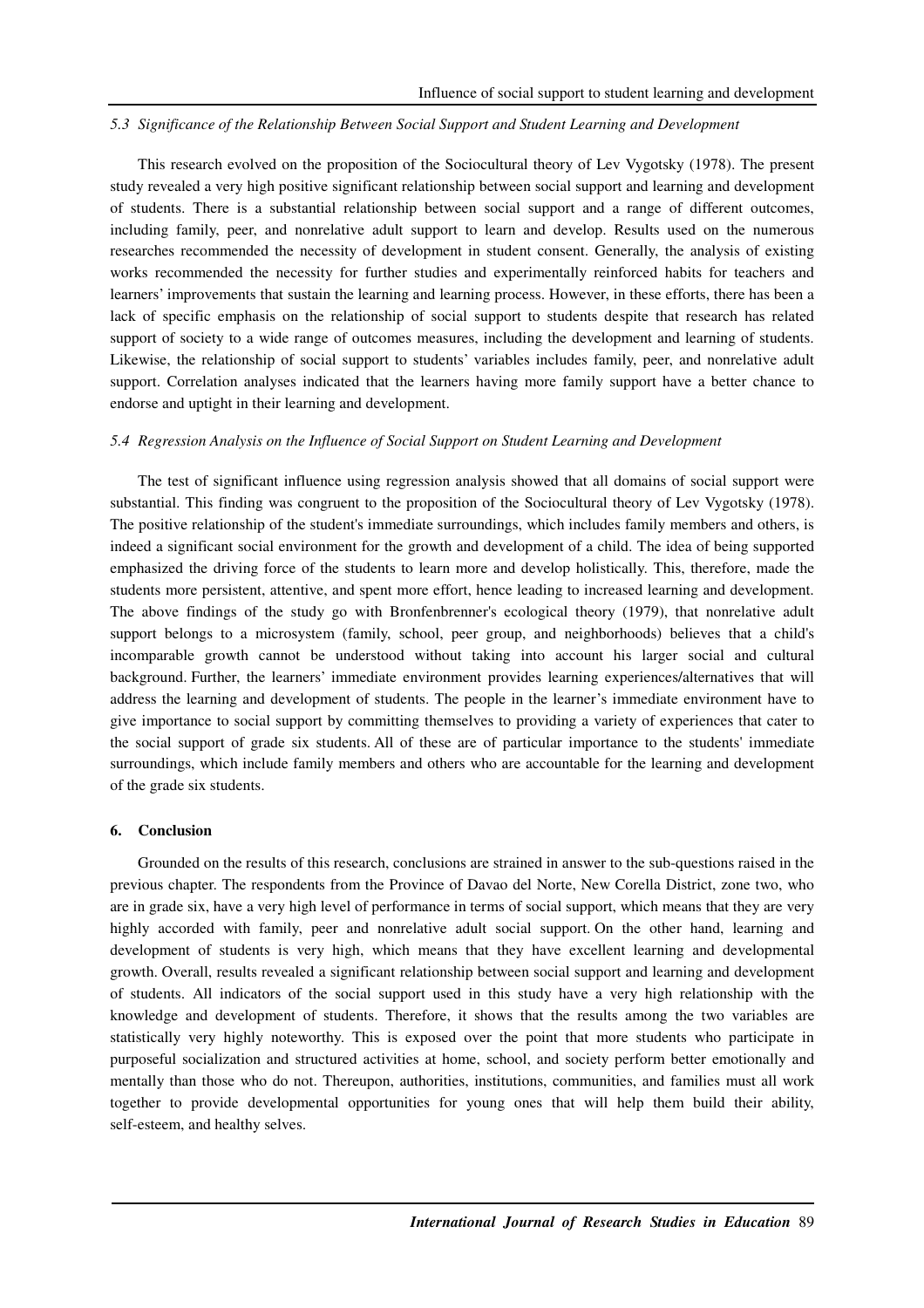### *5.3 Significance of the Relationship Between Social Support and Student Learning and Development*

This research evolved on the proposition of the Sociocultural theory of Lev Vygotsky (1978). The present study revealed a very high positive significant relationship between social support and learning and development of students. There is a substantial relationship between social support and a range of different outcomes, including family, peer, and nonrelative adult support to learn and develop. Results used on the numerous researches recommended the necessity of development in student consent. Generally, the analysis of existing works recommended the necessity for further studies and experimentally reinforced habits for teachers and learners' improvements that sustain the learning and learning process. However, in these efforts, there has been a lack of specific emphasis on the relationship of social support to students despite that research has related support of society to a wide range of outcomes measures, including the development and learning of students. Likewise, the relationship of social support to students' variables includes family, peer, and nonrelative adult support. Correlation analyses indicated that the learners having more family support have a better chance to endorse and uptight in their learning and development.

# *5.4 Regression Analysis on the Influence of Social Support on Student Learning and Development*

The test of significant influence using regression analysis showed that all domains of social support were substantial. This finding was congruent to the proposition of the Sociocultural theory of Lev Vygotsky (1978). The positive relationship of the student's immediate surroundings, which includes family members and others, is indeed a significant social environment for the growth and development of a child. The idea of being supported emphasized the driving force of the students to learn more and develop holistically. This, therefore, made the students more persistent, attentive, and spent more effort, hence leading to increased learning and development. The above findings of the study go with Bronfenbrenner's ecological theory (1979), that nonrelative adult support belongs to a microsystem (family, school, peer group, and neighborhoods) believes that a child's incomparable growth cannot be understood without taking into account his larger social and cultural background. Further, the learners' immediate environment provides learning experiences/alternatives that will address the learning and development of students. The people in the learner's immediate environment have to give importance to social support by committing themselves to providing a variety of experiences that cater to the social support of grade six students. All of these are of particular importance to the students' immediate surroundings, which include family members and others who are accountable for the learning and development of the grade six students.

#### **6. Conclusion**

Grounded on the results of this research, conclusions are strained in answer to the sub-questions raised in the previous chapter. The respondents from the Province of Davao del Norte, New Corella District, zone two, who are in grade six, have a very high level of performance in terms of social support, which means that they are very highly accorded with family, peer and nonrelative adult social support. On the other hand, learning and development of students is very high, which means that they have excellent learning and developmental growth. Overall, results revealed a significant relationship between social support and learning and development of students. All indicators of the social support used in this study have a very high relationship with the knowledge and development of students. Therefore, it shows that the results among the two variables are statistically very highly noteworthy. This is exposed over the point that more students who participate in purposeful socialization and structured activities at home, school, and society perform better emotionally and mentally than those who do not. Thereupon, authorities, institutions, communities, and families must all work together to provide developmental opportunities for young ones that will help them build their ability, self-esteem, and healthy selves.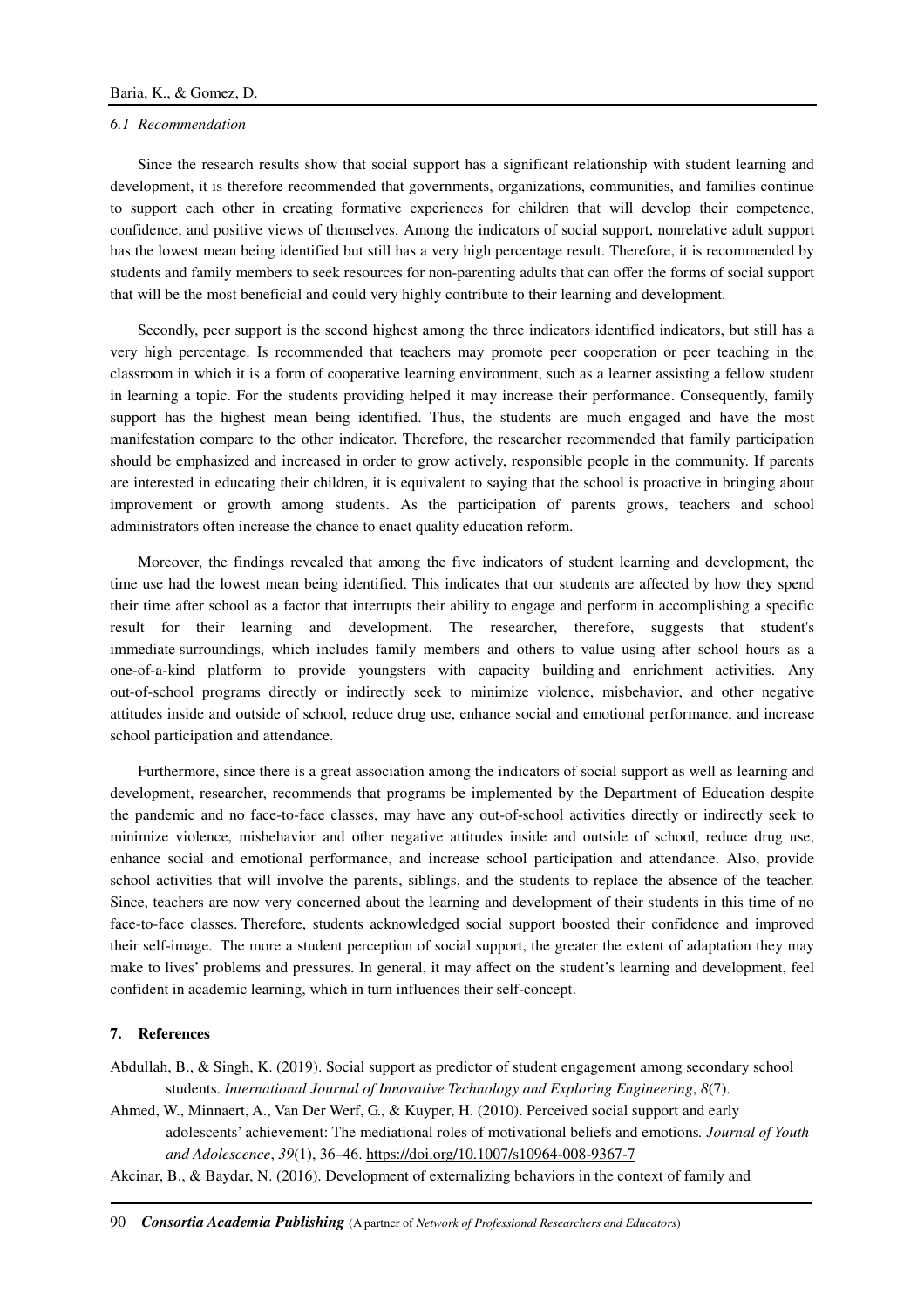#### *6.1 Recommendation*

Since the research results show that social support has a significant relationship with student learning and development, it is therefore recommended that governments, organizations, communities, and families continue to support each other in creating formative experiences for children that will develop their competence, confidence, and positive views of themselves. Among the indicators of social support, nonrelative adult support has the lowest mean being identified but still has a very high percentage result. Therefore, it is recommended by students and family members to seek resources for non-parenting adults that can offer the forms of social support that will be the most beneficial and could very highly contribute to their learning and development.

Secondly, peer support is the second highest among the three indicators identified indicators, but still has a very high percentage. Is recommended that teachers may promote peer cooperation or peer teaching in the classroom in which it is a form of cooperative learning environment, such as a learner assisting a fellow student in learning a topic. For the students providing helped it may increase their performance. Consequently, family support has the highest mean being identified. Thus, the students are much engaged and have the most manifestation compare to the other indicator. Therefore, the researcher recommended that family participation should be emphasized and increased in order to grow actively, responsible people in the community. If parents are interested in educating their children, it is equivalent to saying that the school is proactive in bringing about improvement or growth among students. As the participation of parents grows, teachers and school administrators often increase the chance to enact quality education reform.

Moreover, the findings revealed that among the five indicators of student learning and development, the time use had the lowest mean being identified. This indicates that our students are affected by how they spend their time after school as a factor that interrupts their ability to engage and perform in accomplishing a specific result for their learning and development. The researcher, therefore, suggests that student's immediate surroundings, which includes family members and others to value using after school hours as a one-of-a-kind platform to provide youngsters with capacity building and enrichment activities. Any out-of-school programs directly or indirectly seek to minimize violence, misbehavior, and other negative attitudes inside and outside of school, reduce drug use, enhance social and emotional performance, and increase school participation and attendance.

Furthermore, since there is a great association among the indicators of social support as well as learning and development, researcher, recommends that programs be implemented by the Department of Education despite the pandemic and no face-to-face classes, may have any out-of-school activities directly or indirectly seek to minimize violence, misbehavior and other negative attitudes inside and outside of school, reduce drug use, enhance social and emotional performance, and increase school participation and attendance. Also, provide school activities that will involve the parents, siblings, and the students to replace the absence of the teacher. Since, teachers are now very concerned about the learning and development of their students in this time of no face-to-face classes. Therefore, students acknowledged social support boosted their confidence and improved their self-image. The more a student perception of social support, the greater the extent of adaptation they may make to lives' problems and pressures. In general, it may affect on the student's learning and development, feel confident in academic learning, which in turn influences their self-concept.

#### **7. References**

Abdullah, B., & Singh, K. (2019). Social support as predictor of student engagement among secondary school students. *International Journal of Innovative Technology and Exploring Engineering*, *8*(7).

Ahmed, W., Minnaert, A., Van Der Werf, G., & Kuyper, H. (2010). Perceived social support and early adolescents' achievement: The mediational roles of motivational beliefs and emotions*. Journal of Youth and Adolescence*, *39*(1), 36–46. https://doi.org/10.1007/s10964-008-9367-7

Akcinar, B., & Baydar, N. (2016). Development of externalizing behaviors in the context of family and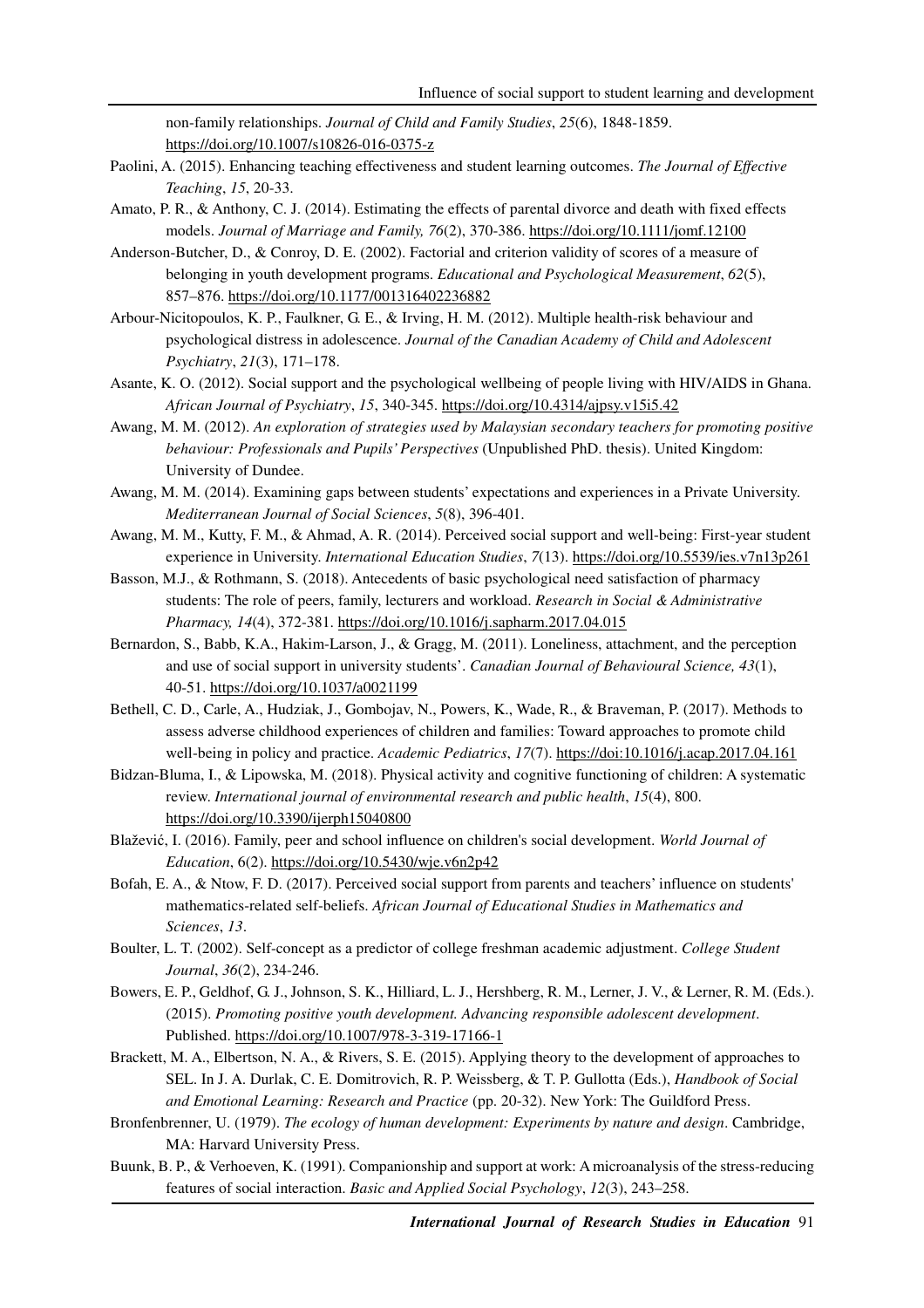non-family relationships. *Journal of Child and Family Studies*, *25*(6), 1848-1859. https://doi.org/10.1007/s10826-016-0375-z

- Paolini, A. (2015). Enhancing teaching effectiveness and student learning outcomes. *The Journal of Effective Teaching*, *15*, 20-33.
- Amato, P. R., & Anthony, C. J. (2014). Estimating the effects of parental divorce and death with fixed effects models. *Journal of Marriage and Family, 76*(2), 370-386. https://doi.org/10.1111/jomf.12100
- Anderson-Butcher, D., & Conroy, D. E. (2002). Factorial and criterion validity of scores of a measure of belonging in youth development programs. *Educational and Psychological Measurement*, *62*(5), 857–876. https://doi.org/10.1177/001316402236882
- Arbour-Nicitopoulos, K. P., Faulkner, G. E., & Irving, H. M. (2012). Multiple health-risk behaviour and psychological distress in adolescence. *Journal of the Canadian Academy of Child and Adolescent Psychiatry*, *21*(3), 171–178.
- Asante, K. O. (2012). Social support and the psychological wellbeing of people living with HIV/AIDS in Ghana. *African Journal of Psychiatry*, *15*, 340-345. https://doi.org/10.4314/ajpsy.v15i5.42
- Awang, M. M. (2012). *An exploration of strategies used by Malaysian secondary teachers for promoting positive behaviour: Professionals and Pupils' Perspectives* (Unpublished PhD. thesis). United Kingdom: University of Dundee.
- Awang, M. M. (2014). Examining gaps between students' expectations and experiences in a Private University. *Mediterranean Journal of Social Sciences*, *5*(8), 396-401.
- Awang, M. M., Kutty, F. M., & Ahmad, A. R. (2014). Perceived social support and well-being: First-year student experience in University. *International Education Studies*, *7*(13). https://doi.org/10.5539/ies.v7n13p261
- Basson, M.J., & Rothmann, S. (2018). Antecedents of basic psychological need satisfaction of pharmacy students: The role of peers, family, lecturers and workload. *Research in Social & Administrative Pharmacy, 14*(4), 372-381. https://doi.org/10.1016/j.sapharm.2017.04.015
- Bernardon, S., Babb, K.A., Hakim-Larson, J., & Gragg, M. (2011). Loneliness, attachment, and the perception and use of social support in university students'. *Canadian Journal of Behavioural Science, 43*(1), 40-51. https://doi.org/10.1037/a0021199
- Bethell, C. D., Carle, A., Hudziak, J., Gombojav, N., Powers, K., Wade, R., & Braveman, P. (2017). Methods to assess adverse childhood experiences of children and families: Toward approaches to promote child well-being in policy and practice. *Academic Pediatrics*, *17*(7). https://doi:10.1016/j.acap.2017.04.161
- Bidzan-Bluma, I., & Lipowska, M. (2018). Physical activity and cognitive functioning of children: A systematic review. *International journal of environmental research and public health*, *15*(4), 800. https://doi.org/10.3390/ijerph15040800
- Blažević, I. (2016). Family, peer and school influence on children's social development. *World Journal of Education*, 6(2). https://doi.org/10.5430/wje.v6n2p42
- Bofah, E. A., & Ntow, F. D. (2017). Perceived social support from parents and teachers' influence on students' mathematics-related self-beliefs. *African Journal of Educational Studies in Mathematics and Sciences*, *13*.
- Boulter, L. T. (2002). Self-concept as a predictor of college freshman academic adjustment. *College Student Journal*, *36*(2), 234-246.
- Bowers, E. P., Geldhof, G. J., Johnson, S. K., Hilliard, L. J., Hershberg, R. M., Lerner, J. V., & Lerner, R. M. (Eds.). (2015). *Promoting positive youth development. Advancing responsible adolescent development*. Published. https://doi.org/10.1007/978-3-319-17166-1
- Brackett, M. A., Elbertson, N. A., & Rivers, S. E. (2015). Applying theory to the development of approaches to SEL. In J. A. Durlak, C. E. Domitrovich, R. P. Weissberg, & T. P. Gullotta (Eds.), *Handbook of Social and Emotional Learning: Research and Practice* (pp. 20-32). New York: The Guildford Press.
- Bronfenbrenner, U. (1979). *The ecology of human development: Experiments by nature and design*. Cambridge, MA: Harvard University Press.
- Buunk, B. P., & Verhoeven, K. (1991). Companionship and support at work: A microanalysis of the stress-reducing features of social interaction. *Basic and Applied Social Psychology*, *12*(3), 243–258.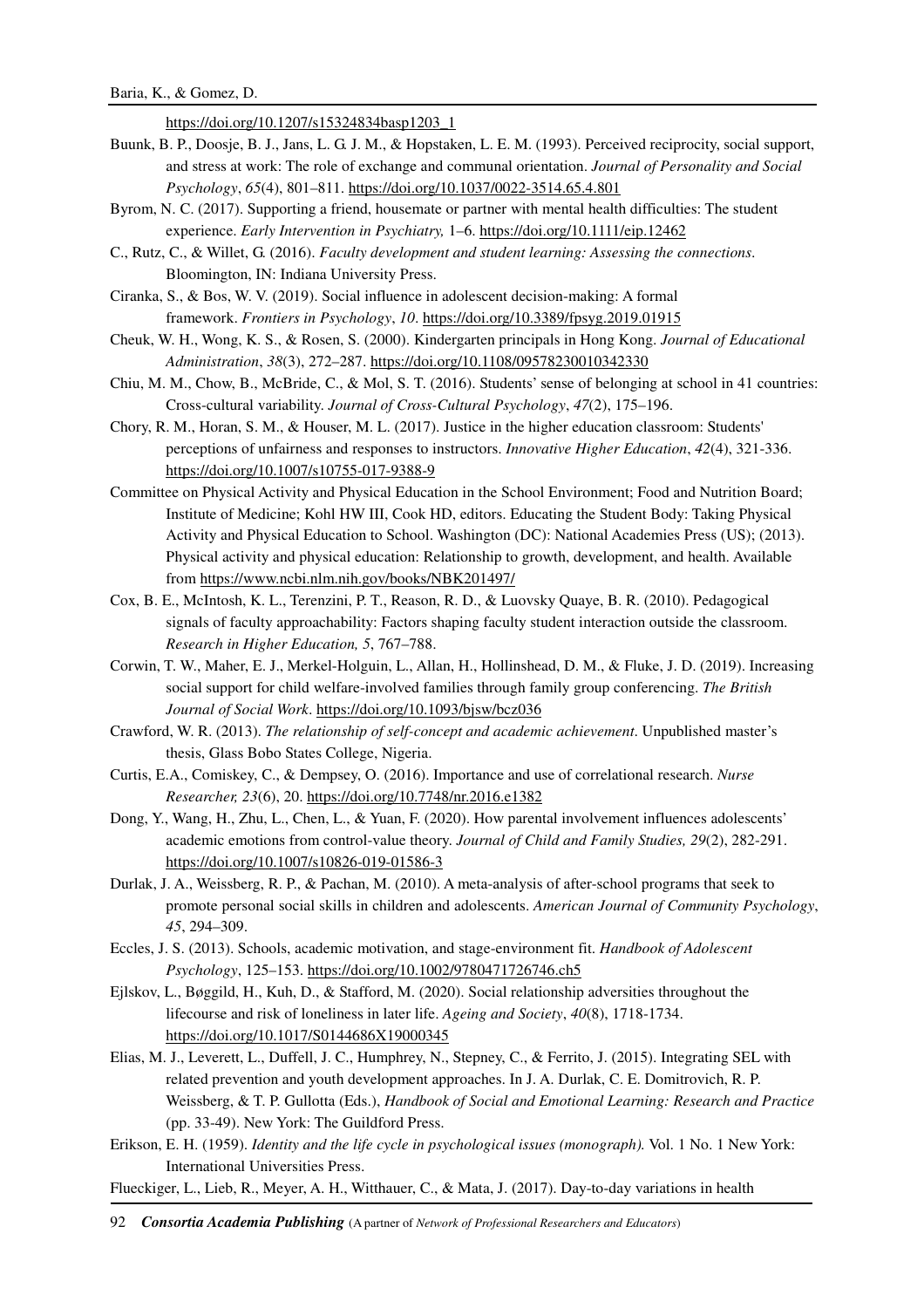https://doi.org/10.1207/s15324834basp1203\_1

- Buunk, B. P., Doosje, B. J., Jans, L. G. J. M., & Hopstaken, L. E. M. (1993). Perceived reciprocity, social support, and stress at work: The role of exchange and communal orientation. *Journal of Personality and Social Psychology*, *65*(4), 801–811. https://doi.org/10.1037/0022-3514.65.4.801
- Byrom, N. C. (2017). Supporting a friend, housemate or partner with mental health difficulties: The student experience. *Early Intervention in Psychiatry,* 1–6. https://doi.org/10.1111/eip.12462
- C., Rutz, C., & Willet, G. (2016). *Faculty development and student learning: Assessing the connections*. Bloomington, IN: Indiana University Press.
- Ciranka, S., & Bos, W. V. (2019). Social influence in adolescent decision-making: A formal framework. *Frontiers in Psychology*, *10*. https://doi.org/10.3389/fpsyg.2019.01915
- Cheuk, W. H., Wong, K. S., & Rosen, S. (2000). Kindergarten principals in Hong Kong. *Journal of Educational Administration*, *38*(3), 272–287. https://doi.org/10.1108/09578230010342330
- Chiu, M. M., Chow, B., McBride, C., & Mol, S. T. (2016). Students' sense of belonging at school in 41 countries: Cross-cultural variability. *Journal of Cross-Cultural Psychology*, *47*(2), 175–196.
- Chory, R. M., Horan, S. M., & Houser, M. L. (2017). Justice in the higher education classroom: Students' perceptions of unfairness and responses to instructors. *Innovative Higher Education*, *42*(4), 321-336. https://doi.org/10.1007/s10755-017-9388-9
- Committee on Physical Activity and Physical Education in the School Environment; Food and Nutrition Board; Institute of Medicine; Kohl HW III, Cook HD, editors. Educating the Student Body: Taking Physical Activity and Physical Education to School. Washington (DC): National Academies Press (US); (2013). Physical activity and physical education: Relationship to growth, development, and health. Available from https://www.ncbi.nlm.nih.gov/books/NBK201497/
- Cox, B. E., McIntosh, K. L., Terenzini, P. T., Reason, R. D., & Luovsky Quaye, B. R. (2010). Pedagogical signals of faculty approachability: Factors shaping faculty student interaction outside the classroom. *Research in Higher Education, 5*, 767–788.
- Corwin, T. W., Maher, E. J., Merkel-Holguin, L., Allan, H., Hollinshead, D. M., & Fluke, J. D. (2019). Increasing social support for child welfare-involved families through family group conferencing. *The British Journal of Social Work*. https://doi.org/10.1093/bjsw/bcz036
- Crawford, W. R. (2013). *The relationship of self-concept and academic achievement*. Unpublished master's thesis, Glass Bobo States College, Nigeria.
- Curtis, E.A., Comiskey, C., & Dempsey, O. (2016). Importance and use of correlational research. *Nurse Researcher, 23*(6), 20. https://doi.org/10.7748/nr.2016.e1382
- Dong, Y., Wang, H., Zhu, L., Chen, L., & Yuan, F. (2020). How parental involvement influences adolescents' academic emotions from control-value theory. *Journal of Child and Family Studies, 29*(2), 282-291. https://doi.org/10.1007/s10826-019-01586-3
- Durlak, J. A., Weissberg, R. P., & Pachan, M. (2010). A meta-analysis of after-school programs that seek to promote personal social skills in children and adolescents. *American Journal of Community Psychology*, *45*, 294–309.
- Eccles, J. S. (2013). Schools, academic motivation, and stage-environment fit. *Handbook of Adolescent Psychology*, 125–153. https://doi.org/10.1002/9780471726746.ch5
- Ejlskov, L., Bøggild, H., Kuh, D., & Stafford, M. (2020). Social relationship adversities throughout the lifecourse and risk of loneliness in later life. *Ageing and Society*, *40*(8), 1718-1734. https://doi.org/10.1017/S0144686X19000345
- Elias, M. J., Leverett, L., Duffell, J. C., Humphrey, N., Stepney, C., & Ferrito, J. (2015). Integrating SEL with related prevention and youth development approaches. In J. A. Durlak, C. E. Domitrovich, R. P. Weissberg, & T. P. Gullotta (Eds.), *Handbook of Social and Emotional Learning: Research and Practice* (pp. 33-49). New York: The Guildford Press.
- Erikson, E. H. (1959). *Identity and the life cycle in psychological issues (monograph).* Vol. 1 No. 1 New York: International Universities Press.
- Flueckiger, L., Lieb, R., Meyer, A. H., Witthauer, C., & Mata, J. (2017). Day-to-day variations in health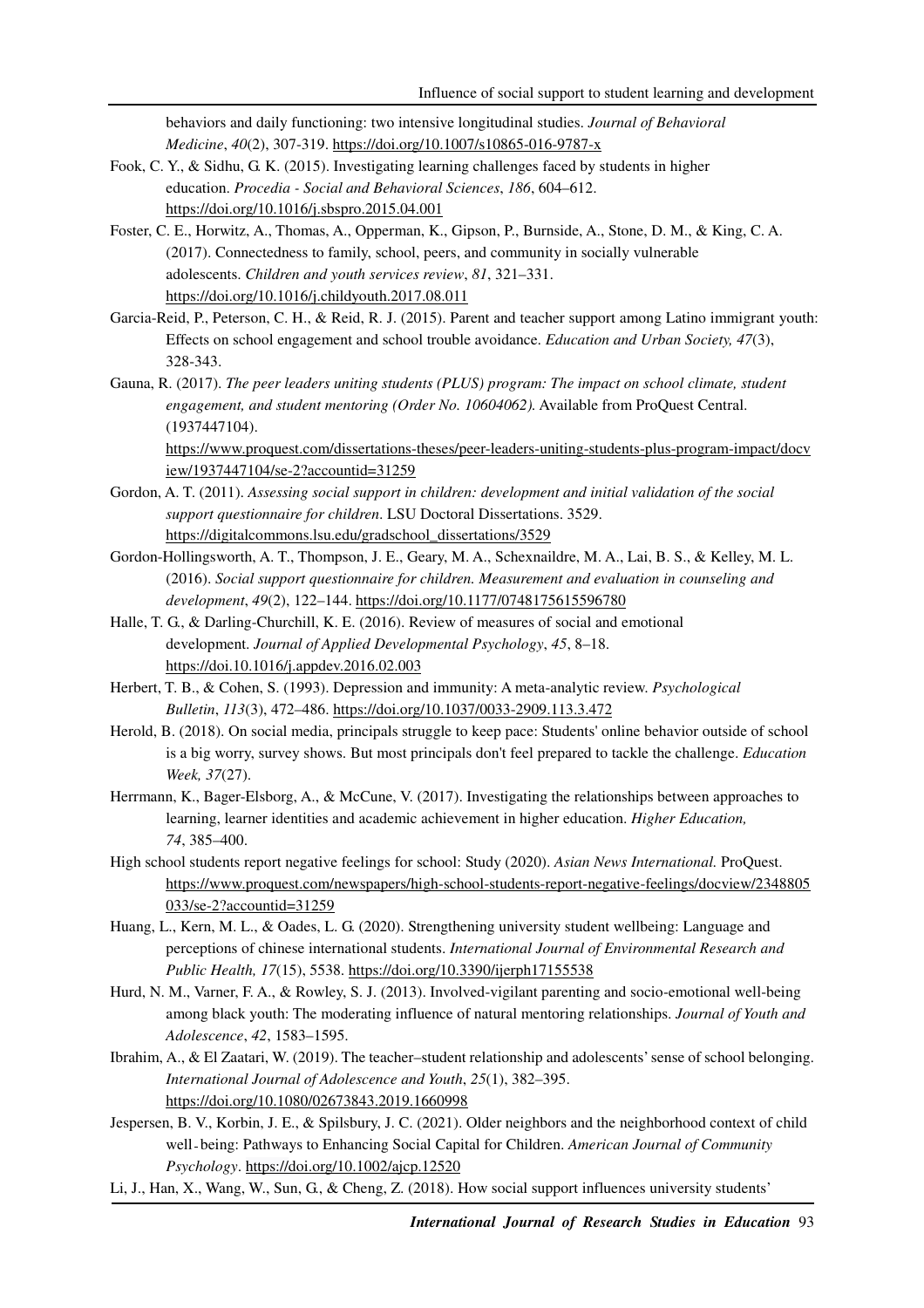behaviors and daily functioning: two intensive longitudinal studies. *Journal of Behavioral Medicine*, *40*(2), 307-319. https://doi.org/10.1007/s10865-016-9787-x

- Fook, C. Y., & Sidhu, G. K. (2015). Investigating learning challenges faced by students in higher education. *Procedia - Social and Behavioral Sciences*, *186*, 604–612. https://doi.org/10.1016/j.sbspro.2015.04.001
- Foster, C. E., Horwitz, A., Thomas, A., Opperman, K., Gipson, P., Burnside, A., Stone, D. M., & King, C. A. (2017). Connectedness to family, school, peers, and community in socially vulnerable adolescents. *Children and youth services review*, *81*, 321–331. https://doi.org/10.1016/j.childyouth.2017.08.011
- Garcia-Reid, P., Peterson, C. H., & Reid, R. J. (2015). Parent and teacher support among Latino immigrant youth: Effects on school engagement and school trouble avoidance. *Education and Urban Society, 47*(3), 328-343.
- Gauna, R. (2017). *The peer leaders uniting students (PLUS) program: The impact on school climate, student engagement, and student mentoring (Order No. 10604062).* Available from ProQuest Central. (1937447104).

https://www.proquest.com/dissertations-theses/peer-leaders-uniting-students-plus-program-impact/docv iew/1937447104/se-2?accountid=31259

- Gordon, A. T. (2011). *Assessing social support in children: development and initial validation of the social support questionnaire for children*. LSU Doctoral Dissertations. 3529. https://digitalcommons.lsu.edu/gradschool\_dissertations/3529
- Gordon-Hollingsworth, A. T., Thompson, J. E., Geary, M. A., Schexnaildre, M. A., Lai, B. S., & Kelley, M. L. (2016). *Social support questionnaire for children. Measurement and evaluation in counseling and development*, *49*(2), 122–144. https://doi.org/10.1177/0748175615596780
- Halle, T. G., & Darling-Churchill, K. E. (2016). Review of measures of social and emotional development. *Journal of Applied Developmental Psychology*, *45*, 8–18. https://doi.10.1016/j.appdev.2016.02.003
- Herbert, T. B., & Cohen, S. (1993). Depression and immunity: A meta-analytic review. *Psychological Bulletin*, *113*(3), 472–486. https://doi.org/10.1037/0033-2909.113.3.472
- Herold, B. (2018). On social media, principals struggle to keep pace: Students' online behavior outside of school is a big worry, survey shows. But most principals don't feel prepared to tackle the challenge. *Education Week, 37*(27).
- Herrmann, K., Bager-Elsborg, A., & McCune, V. (2017). Investigating the relationships between approaches to learning, learner identities and academic achievement in higher education. *Higher Education, 74*, 385–400.
- High school students report negative feelings for school: Study (2020). *Asian News International.* ProQuest. https://www.proquest.com/newspapers/high-school-students-report-negative-feelings/docview/2348805 033/se-2?accountid=31259
- Huang, L., Kern, M. L., & Oades, L. G. (2020). Strengthening university student wellbeing: Language and perceptions of chinese international students. *International Journal of Environmental Research and Public Health, 17*(15), 5538. https://doi.org/10.3390/ijerph17155538
- Hurd, N. M., Varner, F. A., & Rowley, S. J. (2013). Involved-vigilant parenting and socio-emotional well-being among black youth: The moderating influence of natural mentoring relationships. *Journal of Youth and Adolescence*, *42*, 1583–1595.
- Ibrahim, A., & El Zaatari, W. (2019). The teacher–student relationship and adolescents' sense of school belonging. *International Journal of Adolescence and Youth*, *25*(1), 382–395. https://doi.org/10.1080/02673843.2019.1660998
- Jespersen, B. V., Korbin, J. E., & Spilsbury, J. C. (2021). Older neighbors and the neighborhood context of child well - being: Pathways to Enhancing Social Capital for Children. *American Journal of Community Psychology*. https://doi.org/10.1002/ajcp.12520
- Li, J., Han, X., Wang, W., Sun, G., & Cheng, Z. (2018). How social support influences university students'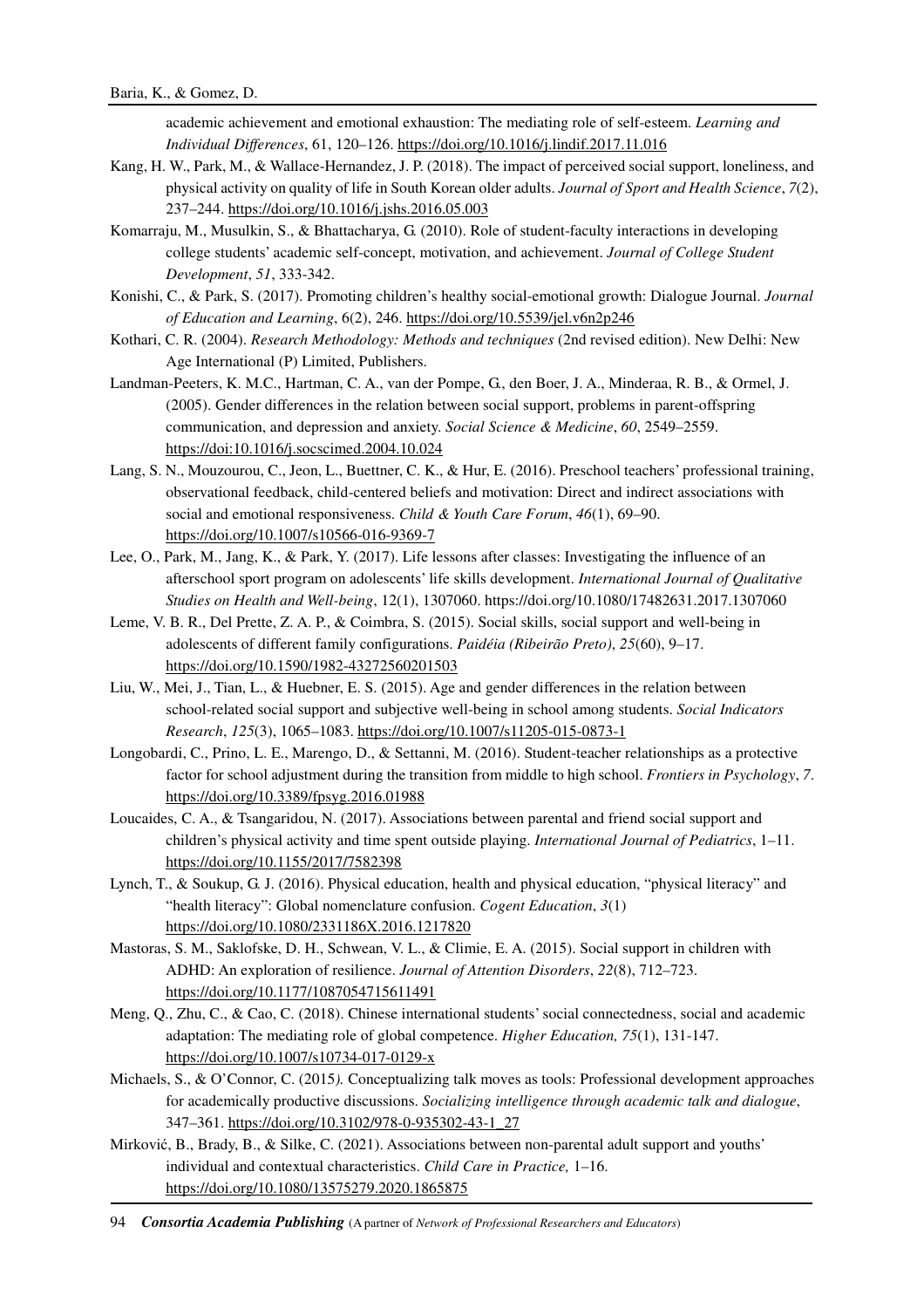academic achievement and emotional exhaustion: The mediating role of self-esteem. *Learning and Individual Differences*, 61, 120–126. https://doi.org/10.1016/j.lindif.2017.11.016

- Kang, H. W., Park, M., & Wallace-Hernandez, J. P. (2018). The impact of perceived social support, loneliness, and physical activity on quality of life in South Korean older adults. *Journal of Sport and Health Science*, *7*(2), 237–244. https://doi.org/10.1016/j.jshs.2016.05.003
- Komarraju, M., Musulkin, S., & Bhattacharya, G. (2010). Role of student-faculty interactions in developing college students' academic self-concept, motivation, and achievement. *Journal of College Student Development*, *51*, 333-342.
- Konishi, C., & Park, S. (2017). Promoting children's healthy social-emotional growth: Dialogue Journal. *Journal of Education and Learning*, 6(2), 246. https://doi.org/10.5539/jel.v6n2p246
- Kothari, C. R. (2004). *Research Methodology: Methods and techniques* (2nd revised edition). New Delhi: New Age International (P) Limited, Publishers.
- Landman-Peeters, K. M.C., Hartman, C. A., van der Pompe, G., den Boer, J. A., Minderaa, R. B., & Ormel, J. (2005). Gender differences in the relation between social support, problems in parent-offspring communication, and depression and anxiety. *Social Science & Medicine*, *60*, 2549–2559. https://doi:10.1016/j.socscimed.2004.10.024
- Lang, S. N., Mouzourou, C., Jeon, L., Buettner, C. K., & Hur, E. (2016). Preschool teachers' professional training, observational feedback, child-centered beliefs and motivation: Direct and indirect associations with social and emotional responsiveness. *Child & Youth Care Forum*, *46*(1), 69–90. https://doi.org/10.1007/s10566-016-9369-7
- Lee, O., Park, M., Jang, K., & Park, Y. (2017). Life lessons after classes: Investigating the influence of an afterschool sport program on adolescents' life skills development. *International Journal of Qualitative Studies on Health and Well-being*, 12(1), 1307060. https://doi.org/10.1080/17482631.2017.1307060
- Leme, V. B. R., Del Prette, Z. A. P., & Coimbra, S. (2015). Social skills, social support and well-being in adolescents of different family configurations. *Paidéia (Ribeirão Preto)*, *25*(60), 9–17. https://doi.org/10.1590/1982-43272560201503
- Liu, W., Mei, J., Tian, L., & Huebner, E. S. (2015). Age and gender differences in the relation between school-related social support and subjective well-being in school among students. *Social Indicators Research*, *125*(3), 1065–1083. https://doi.org/10.1007/s11205-015-0873-1
- Longobardi, C., Prino, L. E., Marengo, D., & Settanni, M. (2016). Student-teacher relationships as a protective factor for school adjustment during the transition from middle to high school. *Frontiers in Psychology*, *7*. https://doi.org/10.3389/fpsyg.2016.01988
- Loucaides, C. A., & Tsangaridou, N. (2017). Associations between parental and friend social support and children's physical activity and time spent outside playing. *International Journal of Pediatrics*, 1–11. https://doi.org/10.1155/2017/7582398
- Lynch, T., & Soukup, G. J. (2016). Physical education, health and physical education, "physical literacy" and "health literacy": Global nomenclature confusion. *Cogent Education*, *3*(1) https://doi.org/10.1080/2331186X.2016.1217820
- Mastoras, S. M., Saklofske, D. H., Schwean, V. L., & Climie, E. A. (2015). Social support in children with ADHD: An exploration of resilience. *Journal of Attention Disorders*, *22*(8), 712–723. https://doi.org/10.1177/1087054715611491
- Meng, Q., Zhu, C., & Cao, C. (2018). Chinese international students' social connectedness, social and academic adaptation: The mediating role of global competence. *Higher Education, 75*(1), 131-147. https://doi.org/10.1007/s10734-017-0129-x
- Michaels, S., & O'Connor, C. (2015*).* Conceptualizing talk moves as tools: Professional development approaches for academically productive discussions. *Socializing intelligence through academic talk and dialogue*, 347–361. https://doi.org/10.3102/978-0-935302-43-1\_27
- Mirković, B., Brady, B., & Silke, C. (2021). Associations between non-parental adult support and youths' individual and contextual characteristics. *Child Care in Practice,* 1–16. https://doi.org/10.1080/13575279.2020.1865875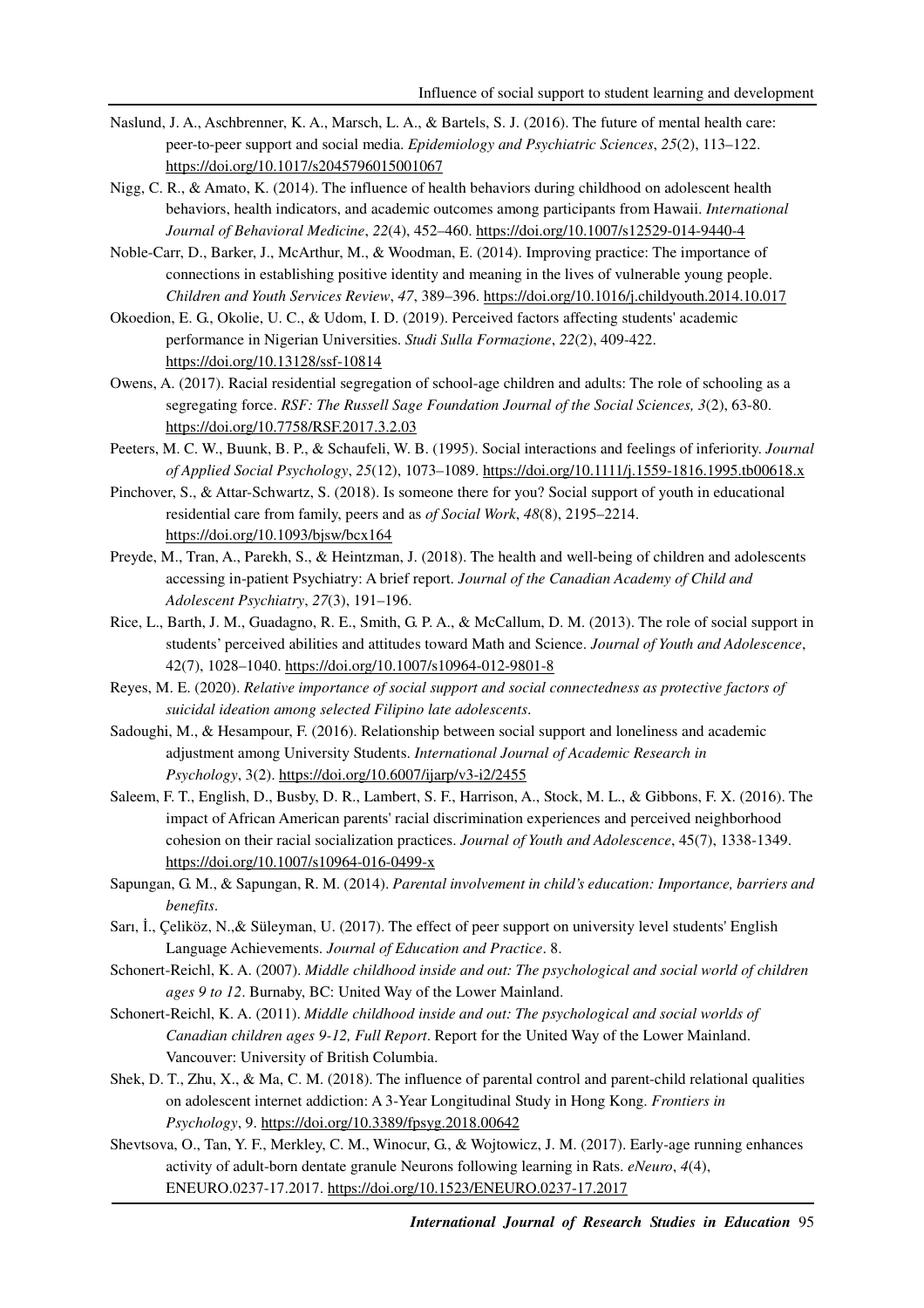- Naslund, J. A., Aschbrenner, K. A., Marsch, L. A., & Bartels, S. J. (2016). The future of mental health care: peer-to-peer support and social media. *Epidemiology and Psychiatric Sciences*, *25*(2), 113–122. https://doi.org/10.1017/s2045796015001067
- Nigg, C. R., & Amato, K. (2014). The influence of health behaviors during childhood on adolescent health behaviors, health indicators, and academic outcomes among participants from Hawaii. *International Journal of Behavioral Medicine*, *22*(4), 452–460. https://doi.org/10.1007/s12529-014-9440-4
- Noble-Carr, D., Barker, J., McArthur, M., & Woodman, E. (2014). Improving practice: The importance of connections in establishing positive identity and meaning in the lives of vulnerable young people. *Children and Youth Services Review*, *47*, 389–396. https://doi.org/10.1016/j.childyouth.2014.10.017
- Okoedion, E. G., Okolie, U. C., & Udom, I. D. (2019). Perceived factors affecting students' academic performance in Nigerian Universities. *Studi Sulla Formazione*, *22*(2), 409-422. https://doi.org/10.13128/ssf-10814
- Owens, A. (2017). Racial residential segregation of school-age children and adults: The role of schooling as a segregating force. *RSF: The Russell Sage Foundation Journal of the Social Sciences, 3*(2), 63-80. https://doi.org/10.7758/RSF.2017.3.2.03
- Peeters, M. C. W., Buunk, B. P., & Schaufeli, W. B. (1995). Social interactions and feelings of inferiority. *Journal of Applied Social Psychology*, *25*(12), 1073–1089. https://doi.org/10.1111/j.1559-1816.1995.tb00618.x
- Pinchover, S., & Attar-Schwartz, S. (2018). Is someone there for you? Social support of youth in educational residential care from family, peers and as *of Social Work*, *48*(8), 2195–2214. https://doi.org/10.1093/bjsw/bcx164
- Preyde, M., Tran, A., Parekh, S., & Heintzman, J. (2018). The health and well-being of children and adolescents accessing in-patient Psychiatry: A brief report. *Journal of the Canadian Academy of Child and Adolescent Psychiatry*, *27*(3), 191–196.
- Rice, L., Barth, J. M., Guadagno, R. E., Smith, G. P. A., & McCallum, D. M. (2013). The role of social support in students' perceived abilities and attitudes toward Math and Science. *Journal of Youth and Adolescence*, 42(7), 1028–1040. https://doi.org/10.1007/s10964-012-9801-8
- Reyes, M. E. (2020). *Relative importance of social support and social connectedness as protective factors of suicidal ideation among selected Filipino late adolescents*.
- Sadoughi, M., & Hesampour, F. (2016). Relationship between social support and loneliness and academic adjustment among University Students. *International Journal of Academic Research in Psychology*, 3(2). https://doi.org/10.6007/ijarp/v3-i2/2455
- Saleem, F. T., English, D., Busby, D. R., Lambert, S. F., Harrison, A., Stock, M. L., & Gibbons, F. X. (2016). The impact of African American parents' racial discrimination experiences and perceived neighborhood cohesion on their racial socialization practices. *Journal of Youth and Adolescence*, 45(7), 1338-1349. https://doi.org/10.1007/s10964-016-0499-x
- Sapungan, G. M., & Sapungan, R. M. (2014). *Parental involvement in child's education: Importance, barriers and benefits*.
- Sarı, İ., Çeliköz, N.,& Süleyman, U. (2017). The effect of peer support on university level students' English Language Achievements. *Journal of Education and Practice*. 8.
- Schonert-Reichl, K. A. (2007). *Middle childhood inside and out: The psychological and social world of children ages 9 to 12*. Burnaby, BC: United Way of the Lower Mainland.
- Schonert-Reichl, K. A. (2011). *Middle childhood inside and out: The psychological and social worlds of Canadian children ages 9-12, Full Report*. Report for the United Way of the Lower Mainland. Vancouver: University of British Columbia.
- Shek, D. T., Zhu, X., & Ma, C. M. (2018). The influence of parental control and parent-child relational qualities on adolescent internet addiction: A 3-Year Longitudinal Study in Hong Kong. *Frontiers in Psychology*, 9. https://doi.org/10.3389/fpsyg.2018.00642
- Shevtsova, O., Tan, Y. F., Merkley, C. M., Winocur, G., & Wojtowicz, J. M. (2017). Early-age running enhances activity of adult-born dentate granule Neurons following learning in Rats. *eNeuro*, *4*(4), ENEURO.0237-17.2017. https://doi.org/10.1523/ENEURO.0237-17.2017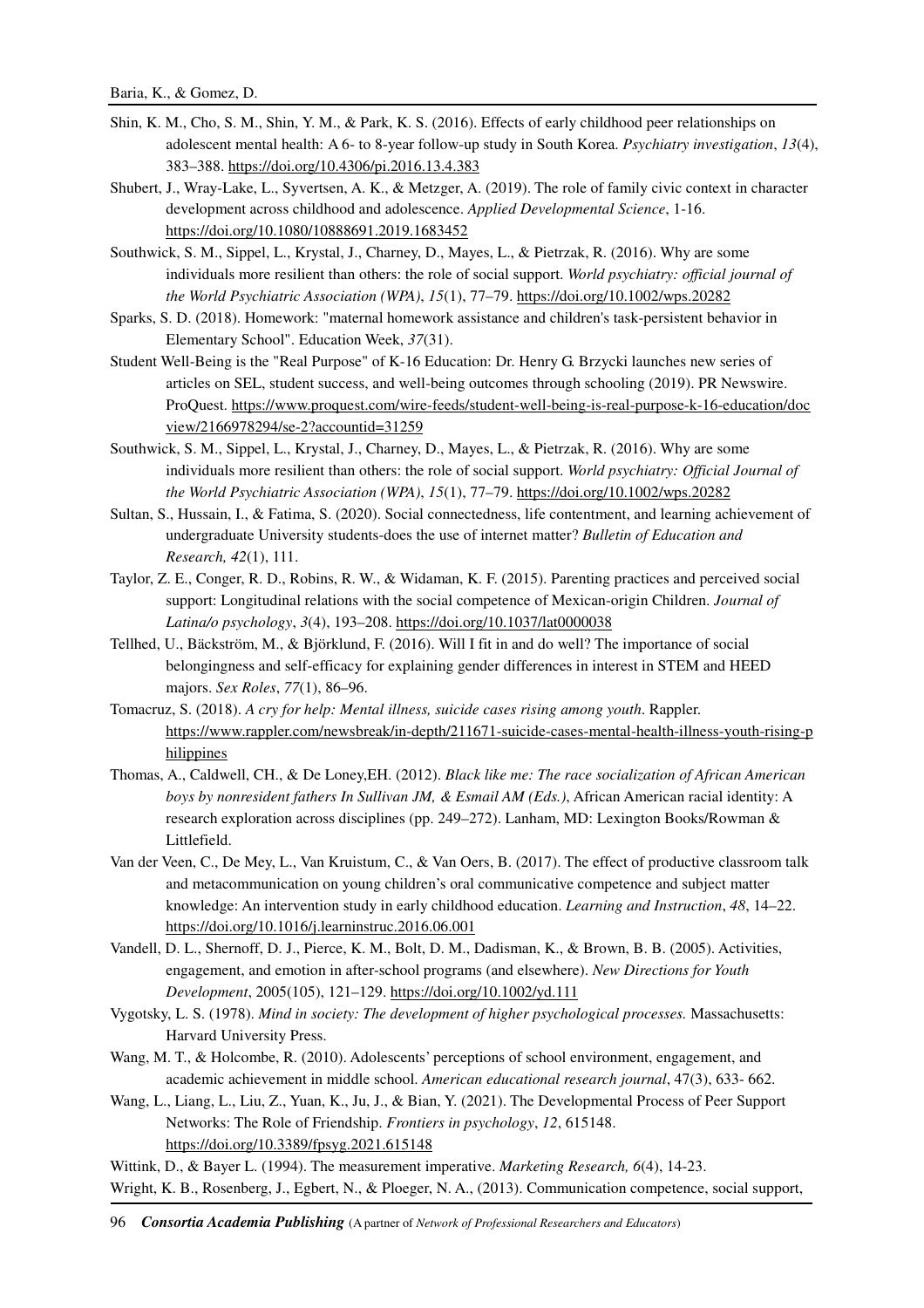- Shin, K. M., Cho, S. M., Shin, Y. M., & Park, K. S. (2016). Effects of early childhood peer relationships on adolescent mental health: A 6- to 8-year follow-up study in South Korea. *Psychiatry investigation*, *13*(4), 383–388. https://doi.org/10.4306/pi.2016.13.4.383
- Shubert, J., Wray-Lake, L., Syvertsen, A. K., & Metzger, A. (2019). The role of family civic context in character development across childhood and adolescence. *Applied Developmental Science*, 1-16. https://doi.org/10.1080/10888691.2019.1683452
- Southwick, S. M., Sippel, L., Krystal, J., Charney, D., Mayes, L., & Pietrzak, R. (2016). Why are some individuals more resilient than others: the role of social support. *World psychiatry: official journal of the World Psychiatric Association (WPA)*, *15*(1), 77–79. https://doi.org/10.1002/wps.20282
- Sparks, S. D. (2018). Homework: "maternal homework assistance and children's task-persistent behavior in Elementary School". Education Week, *37*(31).
- Student Well-Being is the "Real Purpose" of K-16 Education: Dr. Henry G. Brzycki launches new series of articles on SEL, student success, and well-being outcomes through schooling (2019). PR Newswire. ProQuest. https://www.proquest.com/wire-feeds/student-well-being-is-real-purpose-k-16-education/doc view/2166978294/se-2?accountid=31259
- Southwick, S. M., Sippel, L., Krystal, J., Charney, D., Mayes, L., & Pietrzak, R. (2016). Why are some individuals more resilient than others: the role of social support. *World psychiatry: Official Journal of the World Psychiatric Association (WPA)*, *15*(1), 77–79. https://doi.org/10.1002/wps.20282
- Sultan, S., Hussain, I., & Fatima, S. (2020). Social connectedness, life contentment, and learning achievement of undergraduate University students-does the use of internet matter? *Bulletin of Education and Research, 42*(1), 111.
- Taylor, Z. E., Conger, R. D., Robins, R. W., & Widaman, K. F. (2015). Parenting practices and perceived social support: Longitudinal relations with the social competence of Mexican-origin Children. *Journal of Latina/o psychology*, *3*(4), 193–208. https://doi.org/10.1037/lat0000038
- Tellhed, U., Bäckström, M., & Björklund, F. (2016). Will I fit in and do well? The importance of social belongingness and self-efficacy for explaining gender differences in interest in STEM and HEED majors. *Sex Roles*, *77*(1), 86–96.
- Tomacruz, S. (2018). *A cry for help: Mental illness, suicide cases rising among youth*. Rappler. https://www.rappler.com/newsbreak/in-depth/211671-suicide-cases-mental-health-illness-youth-rising-p hilippines
- Thomas, A., Caldwell, CH., & De Loney,EH. (2012). *Black like me: The race socialization of African American boys by nonresident fathers In Sullivan JM, & Esmail AM (Eds.)*, African American racial identity: A research exploration across disciplines (pp. 249–272). Lanham, MD: Lexington Books/Rowman & Littlefield.
- Van der Veen, C., De Mey, L., Van Kruistum, C., & Van Oers, B. (2017). The effect of productive classroom talk and metacommunication on young children's oral communicative competence and subject matter knowledge: An intervention study in early childhood education. *Learning and Instruction*, *48*, 14–22. https://doi.org/10.1016/j.learninstruc.2016.06.001
- Vandell, D. L., Shernoff, D. J., Pierce, K. M., Bolt, D. M., Dadisman, K., & Brown, B. B. (2005). Activities, engagement, and emotion in after-school programs (and elsewhere). *New Directions for Youth Development*, 2005(105), 121–129. https://doi.org/10.1002/yd.111
- Vygotsky, L. S. (1978). *Mind in society: The development of higher psychological processes.* Massachusetts: Harvard University Press.
- Wang, M. T., & Holcombe, R. (2010). Adolescents' perceptions of school environment, engagement, and academic achievement in middle school. *American educational research journal*, 47(3), 633- 662.
- Wang, L., Liang, L., Liu, Z., Yuan, K., Ju, J., & Bian, Y. (2021). The Developmental Process of Peer Support Networks: The Role of Friendship. *Frontiers in psychology*, *12*, 615148. https://doi.org/10.3389/fpsyg.2021.615148

Wittink, D., & Bayer L. (1994). The measurement imperative. *Marketing Research, 6*(4), 14-23.

Wright, K. B., Rosenberg, J., Egbert, N., & Ploeger, N. A., (2013). Communication competence, social support,